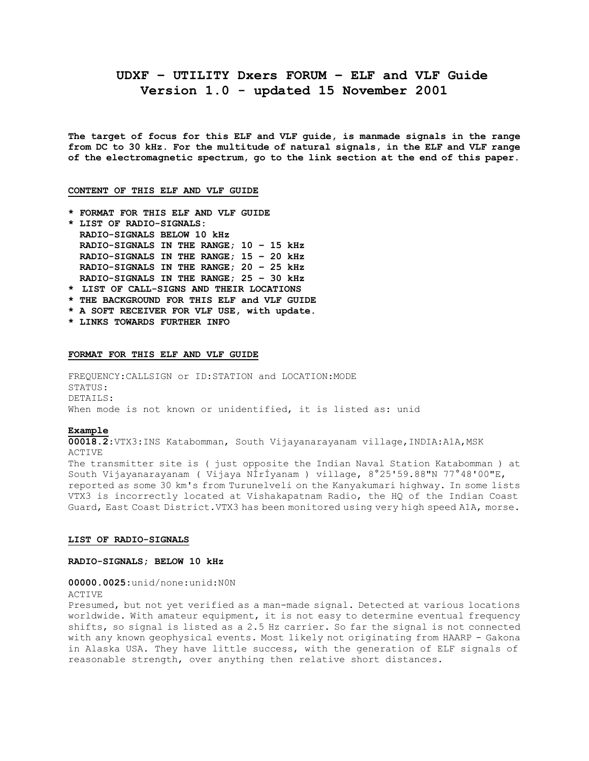# **UDXF – UTILITY Dxers FORUM – ELF and VLF Guide Version 1.0 - updated 15 November 2001**

**The target of focus for this ELF and VLF guide, is manmade signals in the range from DC to 30 kHz. For the multitude of natural signals, in the ELF and VLF range of the electromagnetic spectrum, go to the link section at the end of this paper.**

## **CONTENT OF THIS ELF AND VLF GUIDE**

- **\* FORMAT FOR THIS ELF AND VLF GUIDE**
- **\* LIST OF RADIO-SIGNALS: RADIO-SIGNALS BELOW 10 kHz RADIO-SIGNALS IN THE RANGE; 10 – 15 kHz RADIO-SIGNALS IN THE RANGE; 15 – 20 kHz RADIO-SIGNALS IN THE RANGE; 20 – 25 kHz RADIO-SIGNALS IN THE RANGE; 25 – 30 kHz**
- **\* LIST OF CALL-SIGNS AND THEIR LOCATIONS**
- **\* THE BACKGROUND FOR THIS ELF and VLF GUIDE**
- **\* A SOFT RECEIVER FOR VLF USE, with update.**
- **\* LINKS TOWARDS FURTHER INFO**

#### **FORMAT FOR THIS ELF AND VLF GUIDE**

FREQUENCY:CALLSIGN or ID:STATION and LOCATION:MODE STATUS: DETAILS: When mode is not known or unidentified, it is listed as: unid

#### **Example**

**00018.2**:VTX3:INS Katabomman, South Vijayanarayanam village,INDIA:A1A,MSK ACTIVE The transmitter site is ( just opposite the Indian Naval Station Katabomman ) at South Vijayanarayanam ( Vijaya NÍrÍyanam ) village, 8°25'59.88"N 77°48'00"E, reported as some 30 km's from Turunelveli on the Kanyakumari highway. In some lists

VTX3 is incorrectly located at Vishakapatnam Radio, the HQ of the Indian Coast Guard, East Coast District.VTX3 has been monitored using very high speed A1A, morse.

## **LIST OF RADIO-SIGNALS**

#### **RADIO-SIGNALS; BELOW 10 kHz**

#### **00000.0025:**unid/none:unid:N0N

#### ACTIVE

Presumed, but not yet verified as a man-made signal. Detected at various locations worldwide. With amateur equipment, it is not easy to determine eventual frequency shifts, so signal is listed as a 2.5 Hz carrier. So far the signal is not connected with any known geophysical events. Most likely not originating from HAARP - Gakona in Alaska USA. They have little success, with the generation of ELF signals of reasonable strength, over anything then relative short distances.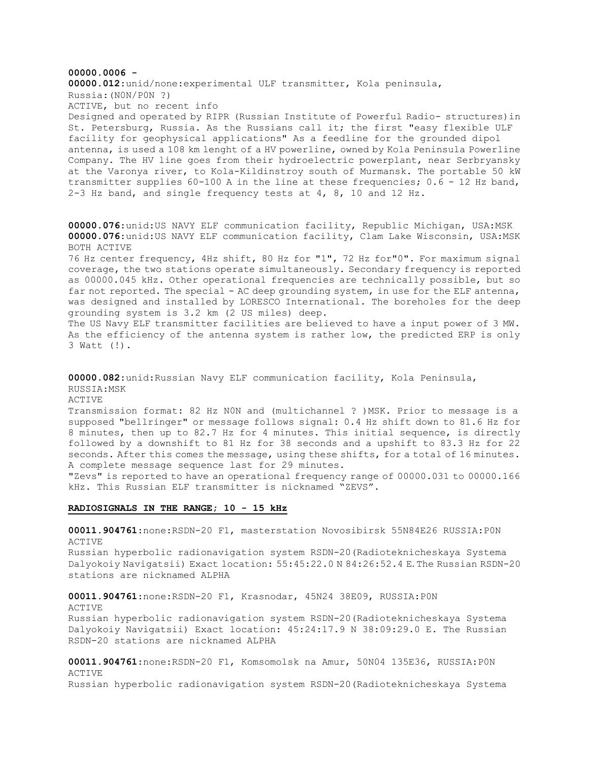**00000.0006 - 00000.012**:unid/none:experimental ULF transmitter, Kola peninsula, Russia:(N0N/P0N ?) ACTIVE, but no recent info Designed and operated by RIPR (Russian Institute of Powerful Radio- structures)in St. Petersburg, Russia. As the Russians call it; the first "easy flexible ULF facility for geophysical applications" As a feedline for the grounded dipol antenna, is used a 108 km lenght of a HV powerline, owned by Kola Peninsula Powerline Company. The HV line goes from their hydroelectric powerplant, near Serbryansky at the Varonya river, to Kola-Kildinstroy south of Murmansk. The portable 50 kW transmitter supplies 60-100 A in the line at these frequencies; 0.6 - 12 Hz band, 2-3 Hz band, and single frequency tests at 4, 8, 10 and 12 Hz. **00000.076**:unid:US NAVY ELF communication facility, Republic Michigan, USA:MSK **00000.076**:unid:US NAVY ELF communication facility, Clam Lake Wisconsin, USA:MSK BOTH ACTIVE 76 Hz center frequency, 4Hz shift, 80 Hz for "1", 72 Hz for"0". For maximum signal coverage, the two stations operate simultaneously. Secondary frequency is reported as 00000.045 kHz. Other operational frequencies are technically possible, but so far not reported. The special - AC deep grounding system, in use for the ELF antenna, was designed and installed by LORESCO International. The boreholes for the deep grounding system is 3.2 km (2 US miles) deep. The US Navy ELF transmitter facilities are believed to have a input power of 3 MW. As the efficiency of the antenna system is rather low, the predicted ERP is only 3 Watt (!).

**00000.082**:unid:Russian Navy ELF communication facility, Kola Peninsula, RUSSIA:MSK ACTIVE Transmission format: 82 Hz NON and (multichannel ? ) MSK. Prior to message is a supposed "bellringer" or message follows signal: 0.4 Hz shift down to 81.6 Hz for 8 minutes, then up to 82.7 Hz for 4 minutes. This initial sequence, is directly followed by a downshift to 81 Hz for 38 seconds and a upshift to 83.3 Hz for 22 seconds. After this comes the message, using these shifts, for a total of 16 minutes.

A complete message sequence last for 29 minutes. "Zevs" is reported to have an operational frequency range of 00000.031 to 00000.166 kHz. This Russian ELF transmitter is nicknamed "ZEVS".

## **RADIOSIGNALS IN THE RANGE; 10 - 15 kHz**

RSDN-20 stations are nicknamed ALPHA

**00011.904761**:none:RSDN-20 F1, masterstation Novosibirsk 55N84E26 RUSSIA:P0N ACTIVE

Russian hyperbolic radionavigation system RSDN-20(Radioteknicheskaya Systema Dalyokoiy Navigatsii) Exact location: 55:45:22.0 N 84:26:52.4 E. The Russian RSDN-20 stations are nicknamed ALPHA

**00011.904761**:none:RSDN-20 F1, Krasnodar, 45N24 38E09, RUSSIA:P0N ACTIVE Russian hyperbolic radionavigation system RSDN-20(Radioteknicheskaya Systema Dalyokoiy Navigatsii) Exact location: 45:24:17.9 N 38:09:29.0 E. The Russian

**00011.904761**:none:RSDN-20 F1, Komsomolsk na Amur, 50N04 135E36, RUSSIA:P0N ACTIVE Russian hyperbolic radionavigation system RSDN-20(Radioteknicheskaya Systema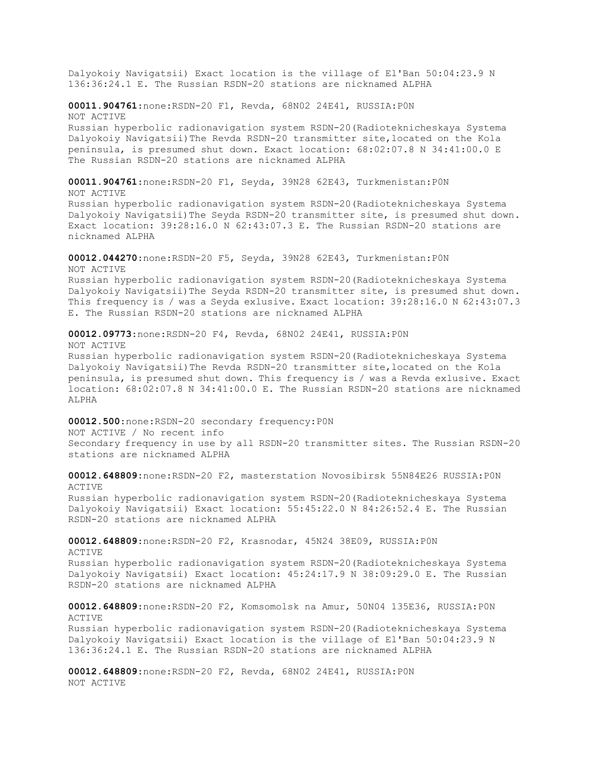Dalyokoiy Navigatsii) Exact location is the village of El'Ban 50:04:23.9 N 136:36:24.1 E. The Russian RSDN-20 stations are nicknamed ALPHA **00011.904761**:none:RSDN-20 F1, Revda, 68N02 24E41, RUSSIA:P0N NOT ACTIVE Russian hyperbolic radionavigation system RSDN-20(Radioteknicheskaya Systema Dalyokoiy Navigatsii)The Revda RSDN-20 transmitter site,located on the Kola peninsula, is presumed shut down. Exact location: 68:02:07.8 N 34:41:00.0 E The Russian RSDN-20 stations are nicknamed ALPHA **00011.904761**:none:RSDN-20 F1, Seyda, 39N28 62E43, Turkmenistan:P0N NOT ACTIVE Russian hyperbolic radionavigation system RSDN-20(Radioteknicheskaya Systema Dalyokoiy Navigatsii)The Seyda RSDN-20 transmitter site, is presumed shut down. Exact location: 39:28:16.0 N 62:43:07.3 E. The Russian RSDN-20 stations are nicknamed ALPHA **00012.044270**:none:RSDN-20 F5, Seyda, 39N28 62E43, Turkmenistan:P0N NOT ACTIVE Russian hyperbolic radionavigation system RSDN-20(Radioteknicheskaya Systema Dalyokoiy Navigatsii)The Seyda RSDN-20 transmitter site, is presumed shut down. This frequency is / was a Seyda exlusive. Exact location: 39:28:16.0 N 62:43:07.3 E. The Russian RSDN-20 stations are nicknamed ALPHA **00012.09773**:none:RSDN-20 F4, Revda, 68N02 24E41, RUSSIA:P0N NOT ACTIVE Russian hyperbolic radionavigation system RSDN-20(Radioteknicheskaya Systema Dalyokoiy Navigatsii)The Revda RSDN-20 transmitter site,located on the Kola peninsula, is presumed shut down. This frequency is / was a Revda exlusive. Exact location: 68:02:07.8 N 34:41:00.0 E. The Russian RSDN-20 stations are nicknamed ALPHA **00012.500**:none:RSDN-20 secondary frequency:P0N NOT ACTIVE / No recent info Secondary frequency in use by all RSDN-20 transmitter sites. The Russian RSDN-20 stations are nicknamed ALPHA **00012.648809:**none:RSDN-20 F2, masterstation Novosibirsk 55N84E26 RUSSIA:P0N ACTIVE Russian hyperbolic radionavigation system RSDN-20(Radioteknicheskaya Systema Dalyokoiy Navigatsii) Exact location: 55:45:22.0 N 84:26:52.4 E. The Russian RSDN-20 stations are nicknamed ALPHA **00012.648809**:none:RSDN-20 F2, Krasnodar, 45N24 38E09, RUSSIA:P0N ACTIVE Russian hyperbolic radionavigation system RSDN-20(Radioteknicheskaya Systema Dalyokoiy Navigatsii) Exact location: 45:24:17.9 N 38:09:29.0 E. The Russian

**00012.648809**:none:RSDN-20 F2, Komsomolsk na Amur, 50N04 135E36, RUSSIA:P0N ACTIVE Russian hyperbolic radionavigation system RSDN-20(Radioteknicheskaya Systema Dalyokoiy Navigatsii) Exact location is the village of El'Ban 50:04:23.9 N 136:36:24.1 E. The Russian RSDN-20 stations are nicknamed ALPHA

**00012.648809**:none:RSDN-20 F2, Revda, 68N02 24E41, RUSSIA:P0N NOT ACTIVE

RSDN-20 stations are nicknamed ALPHA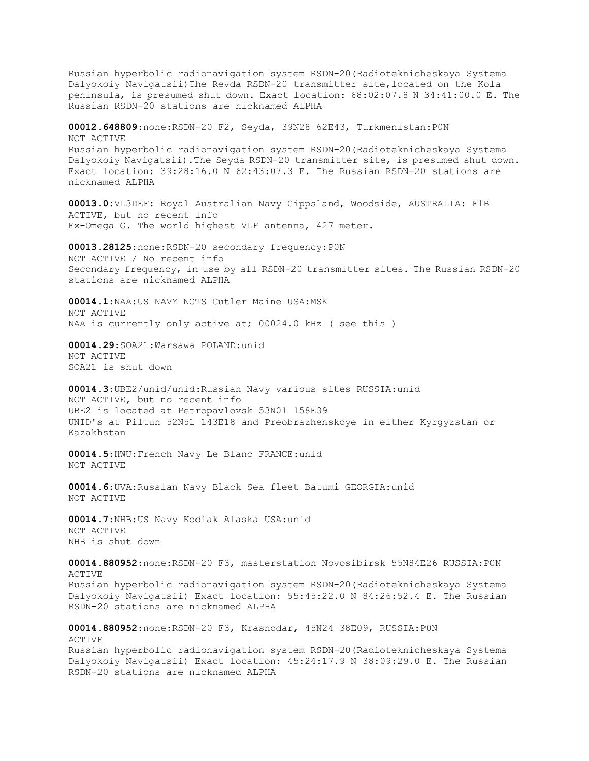Russian hyperbolic radionavigation system RSDN-20(Radioteknicheskaya Systema Dalyokoiy Navigatsii)The Revda RSDN-20 transmitter site,located on the Kola peninsula, is presumed shut down. Exact location: 68:02:07.8 N 34:41:00.0 E. The Russian RSDN-20 stations are nicknamed ALPHA **00012.648809**:none:RSDN-20 F2, Seyda, 39N28 62E43, Turkmenistan:P0N NOT ACTIVE Russian hyperbolic radionavigation system RSDN-20(Radioteknicheskaya Systema Dalyokoiy Navigatsii).The Seyda RSDN-20 transmitter site, is presumed shut down. Exact location: 39:28:16.0 N 62:43:07.3 E. The Russian RSDN-20 stations are nicknamed ALPHA **00013.0:**VL3DEF: Royal Australian Navy Gippsland, Woodside, AUSTRALIA: F1B ACTIVE, but no recent info Ex-Omega G. The world highest VLF antenna, 427 meter. **00013.28125**:none:RSDN-20 secondary frequency:P0N NOT ACTIVE / No recent info

Secondary frequency, in use by all RSDN-20 transmitter sites. The Russian RSDN-20 stations are nicknamed ALPHA

**00014.1**:NAA:US NAVY NCTS Cutler Maine USA:MSK NOT ACTIVE NAA is currently only active at; 00024.0 kHz ( see this )

**00014.29**:SOA21:Warsawa POLAND:unid NOT ACTIVE SOA21 is shut down

**00014.3**:UBE2/unid/unid:Russian Navy various sites RUSSIA:unid NOT ACTIVE, but no recent info UBE2 is located at Petropavlovsk 53N01 158E39 UNID's at Piltun 52N51 143E18 and Preobrazhenskoye in either Kyrgyzstan or Kazakhstan

**00014.5**:HWU:French Navy Le Blanc FRANCE:unid NOT ACTIVE

**00014.6**:UVA:Russian Navy Black Sea fleet Batumi GEORGIA:unid NOT ACTIVE

**00014.7**:NHB:US Navy Kodiak Alaska USA:unid NOT ACTIVE NHB is shut down

**00014.880952**:none:RSDN-20 F3, masterstation Novosibirsk 55N84E26 RUSSIA:P0N ACTIVE Russian hyperbolic radionavigation system RSDN-20(Radioteknicheskaya Systema Dalyokoiy Navigatsii) Exact location: 55:45:22.0 N 84:26:52.4 E. The Russian RSDN-20 stations are nicknamed ALPHA

**00014.880952**:none:RSDN-20 F3, Krasnodar, 45N24 38E09, RUSSIA:P0N ACTIVE Russian hyperbolic radionavigation system RSDN-20(Radioteknicheskaya Systema Dalyokoiy Navigatsii) Exact location: 45:24:17.9 N 38:09:29.0 E. The Russian RSDN-20 stations are nicknamed ALPHA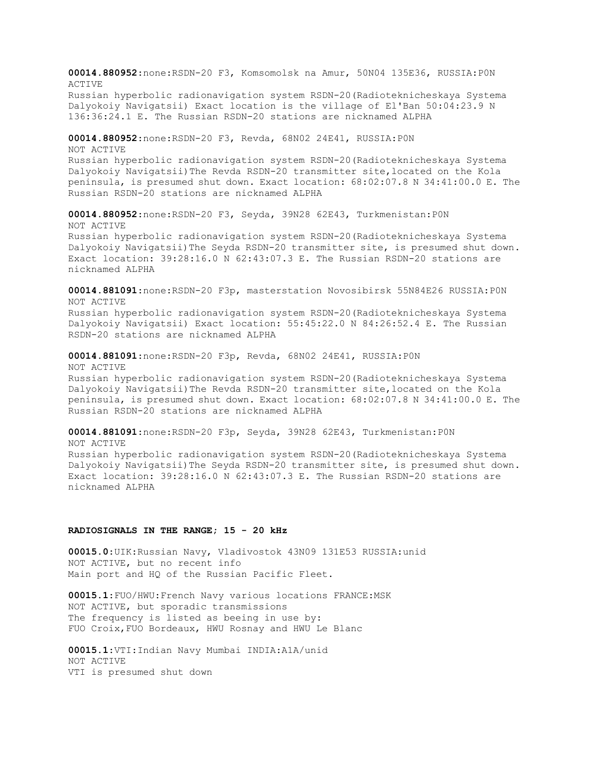**00014.880952**:none:RSDN-20 F3, Komsomolsk na Amur, 50N04 135E36, RUSSIA:P0N ACTIVE Russian hyperbolic radionavigation system RSDN-20(Radioteknicheskaya Systema Dalyokoiy Navigatsii) Exact location is the village of El'Ban 50:04:23.9 N 136:36:24.1 E. The Russian RSDN-20 stations are nicknamed ALPHA

**00014.880952**:none:RSDN-20 F3, Revda, 68N02 24E41, RUSSIA:P0N NOT ACTIVE Russian hyperbolic radionavigation system RSDN-20(Radioteknicheskaya Systema Dalyokoiy Navigatsii)The Revda RSDN-20 transmitter site,located on the Kola peninsula, is presumed shut down. Exact location: 68:02:07.8 N 34:41:00.0 E. The Russian RSDN-20 stations are nicknamed ALPHA

**00014.880952**:none:RSDN-20 F3, Seyda, 39N28 62E43, Turkmenistan:P0N NOT ACTIVE Russian hyperbolic radionavigation system RSDN-20(Radioteknicheskaya Systema Dalyokoiy Navigatsii)The Seyda RSDN-20 transmitter site, is presumed shut down. Exact location: 39:28:16.0 N 62:43:07.3 E. The Russian RSDN-20 stations are nicknamed ALPHA

**00014.881091**:none:RSDN-20 F3p, masterstation Novosibirsk 55N84E26 RUSSIA:P0N NOT ACTIVE

Russian hyperbolic radionavigation system RSDN-20(Radioteknicheskaya Systema Dalyokoiy Navigatsii) Exact location: 55:45:22.0 N 84:26:52.4 E. The Russian RSDN-20 stations are nicknamed ALPHA

**00014.881091**:none:RSDN-20 F3p, Revda, 68N02 24E41, RUSSIA:P0N

NOT ACTIVE

Russian hyperbolic radionavigation system RSDN-20(Radioteknicheskaya Systema Dalyokoiy Navigatsii)The Revda RSDN-20 transmitter site,located on the Kola peninsula, is presumed shut down. Exact location: 68:02:07.8 N 34:41:00.0 E. The Russian RSDN-20 stations are nicknamed ALPHA

**00014.881091**:none:RSDN-20 F3p, Seyda, 39N28 62E43, Turkmenistan:P0N NOT ACTIVE Russian hyperbolic radionavigation system RSDN-20(Radioteknicheskaya Systema Dalyokoiy Navigatsii)The Seyda RSDN-20 transmitter site, is presumed shut down. Exact location: 39:28:16.0 N 62:43:07.3 E. The Russian RSDN-20 stations are nicknamed ALPHA

## **RADIOSIGNALS IN THE RANGE; 15 - 20 kHz**

**00015.0**:UIK:Russian Navy, Vladivostok 43N09 131E53 RUSSIA:unid NOT ACTIVE, but no recent info Main port and HQ of the Russian Pacific Fleet.

**00015.1**:FUO/HWU:French Navy various locations FRANCE:MSK NOT ACTIVE, but sporadic transmissions The frequency is listed as beeing in use by: FUO Croix,FUO Bordeaux, HWU Rosnay and HWU Le Blanc

**00015.1**:VTI:Indian Navy Mumbai INDIA:A1A/unid NOT ACTIVE VTI is presumed shut down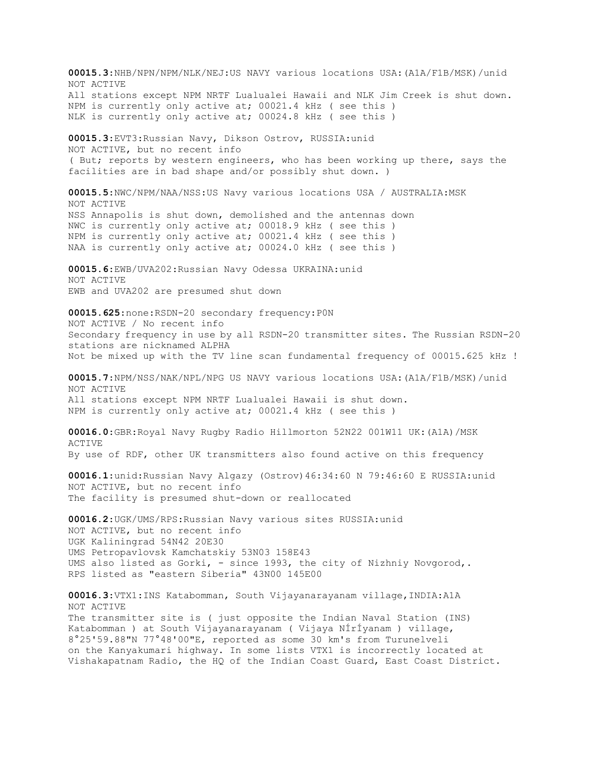**00015.3**:NHB/NPN/NPM/NLK/NEJ:US NAVY various locations USA:(A1A/F1B/MSK)/unid NOT ACTIVE All stations except NPM NRTF Lualualei Hawaii and NLK Jim Creek is shut down. NPM is currently only active at; 00021.4 kHz ( see this ) NLK is currently only active at; 00024.8 kHz ( see this ) **00015.3**:EVT3:Russian Navy, Dikson Ostrov, RUSSIA:unid NOT ACTIVE, but no recent info ( But; reports by western engineers, who has been working up there, says the facilities are in bad shape and/or possibly shut down. ) **00015.5**:NWC/NPM/NAA/NSS:US Navy various locations USA / AUSTRALIA:MSK NOT ACTIVE NSS Annapolis is shut down, demolished and the antennas down NWC is currently only active at; 00018.9 kHz ( see this ) NPM is currently only active at; 00021.4 kHz ( see this ) NAA is currently only active at; 00024.0 kHz ( see this ) **00015.6**:EWB/UVA202:Russian Navy Odessa UKRAINA:unid NOT ACTIVE EWB and UVA202 are presumed shut down **00015.625**:none:RSDN-20 secondary frequency:P0N NOT ACTIVE / No recent info Secondary frequency in use by all RSDN-20 transmitter sites. The Russian RSDN-20 stations are nicknamed ALPHA Not be mixed up with the TV line scan fundamental frequency of 00015.625 kHz ! **00015.7**:NPM/NSS/NAK/NPL/NPG US NAVY various locations USA:(A1A/F1B/MSK)/unid NOT ACTIVE All stations except NPM NRTF Lualualei Hawaii is shut down. NPM is currently only active at; 00021.4 kHz ( see this ) **00016.0**:GBR:Royal Navy Rugby Radio Hillmorton 52N22 001W11 UK:(A1A)/MSK ACTIVE By use of RDF, other UK transmitters also found active on this frequency **00016.1**:unid:Russian Navy Algazy (Ostrov)46:34:60 N 79:46:60 E RUSSIA:unid NOT ACTIVE, but no recent info The facility is presumed shut-down or reallocated **00016.2**:UGK/UMS/RPS:Russian Navy various sites RUSSIA:unid NOT ACTIVE, but no recent info UGK Kaliningrad 54N42 20E30 UMS Petropavlovsk Kamchatskiy 53N03 158E43 UMS also listed as Gorki, - since 1993, the city of Nizhniy Novgorod,. RPS listed as "eastern Siberia" 43N00 145E00 **00016.3**:VTX1:INS Katabomman, South Vijayanarayanam village,INDIA:A1A NOT ACTIVE The transmitter site is ( just opposite the Indian Naval Station (INS) Katabomman ) at South Vijayanarayanam ( Vijaya NÍrÍyanam ) village, 8°25'59.88"N 77°48'00"E, reported as some 30 km's from Turunelveli on the Kanyakumari highway. In some lists VTX1 is incorrectly located at Vishakapatnam Radio, the HQ of the Indian Coast Guard, East Coast District.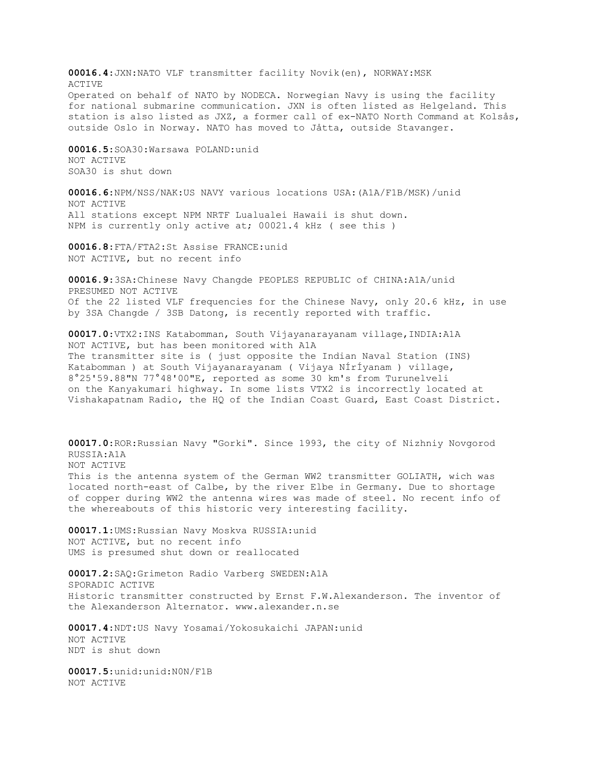**00016.4**:JXN:NATO VLF transmitter facility Novik(en), NORWAY:MSK ACTIVE Operated on behalf of NATO by NODECA. Norwegian Navy is using the facility for national submarine communication. JXN is often listed as Helgeland. This station is also listed as JXZ, a former call of ex-NATO North Command at Kolsås, outside Oslo in Norway. NATO has moved to Jåtta, outside Stavanger.

**00016.5**:SOA30:Warsawa POLAND:unid NOT ACTIVE SOA30 is shut down

**00016.6**:NPM/NSS/NAK:US NAVY various locations USA:(A1A/F1B/MSK)/unid NOT ACTIVE All stations except NPM NRTF Lualualei Hawaii is shut down. NPM is currently only active at; 00021.4 kHz ( see this )

**00016.8**:FTA/FTA2:St Assise FRANCE:unid NOT ACTIVE, but no recent info

**00016.9**:3SA:Chinese Navy Changde PEOPLES REPUBLIC of CHINA:A1A/unid PRESUMED NOT ACTIVE Of the 22 listed VLF frequencies for the Chinese Navy, only 20.6 kHz, in use by 3SA Changde / 3SB Datong, is recently reported with traffic.

**00017.0**:VTX2:INS Katabomman, South Vijayanarayanam village,INDIA:A1A NOT ACTIVE, but has been monitored with A1A The transmitter site is ( just opposite the Indian Naval Station (INS) Katabomman ) at South Vijayanarayanam ( Vijaya NÍrÍyanam ) village, 8°25'59.88"N 77°48'00"E, reported as some 30 km's from Turunelveli on the Kanyakumari highway. In some lists VTX2 is incorrectly located at Vishakapatnam Radio, the HQ of the Indian Coast Guard, East Coast District.

**00017.0**:ROR:Russian Navy "Gorki". Since 1993, the city of Nizhniy Novgorod RUSSIA:A1A NOT ACTIVE This is the antenna system of the German WW2 transmitter GOLIATH, wich was located north-east of Calbe, by the river Elbe in Germany. Due to shortage of copper during WW2 the antenna wires was made of steel. No recent info of the whereabouts of this historic very interesting facility.

**00017.1**:UMS:Russian Navy Moskva RUSSIA:unid NOT ACTIVE, but no recent info UMS is presumed shut down or reallocated

**00017.2**:SAQ:Grimeton Radio Varberg SWEDEN:A1A SPORADIC ACTIVE Historic transmitter constructed by Ernst F.W.Alexanderson. The inventor of the Alexanderson Alternator. www.alexander.n.se

**00017.4**:NDT:US Navy Yosamai/Yokosukaichi JAPAN:unid NOT ACTIVE NDT is shut down

**00017.5**:unid:unid:N0N/F1B NOT ACTIVE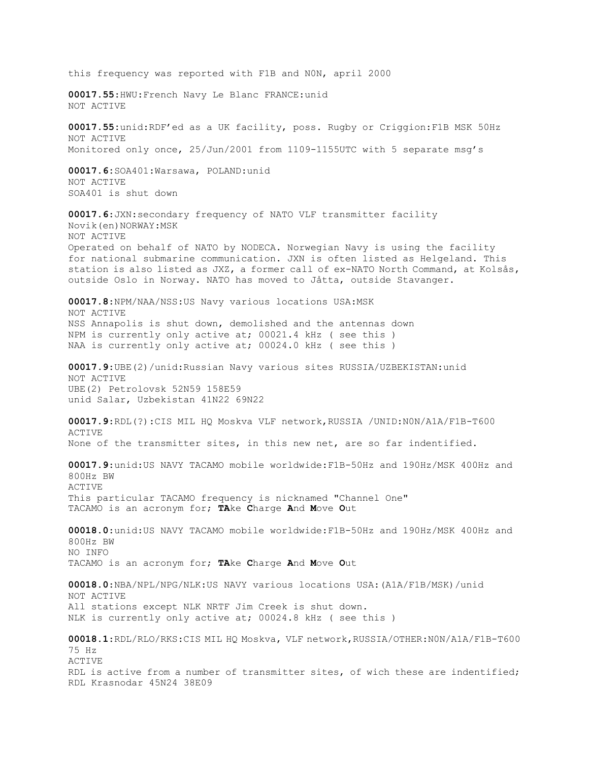this frequency was reported with F1B and N0N, april 2000 **00017.55**:HWU:French Navy Le Blanc FRANCE:unid NOT ACTIVE **00017.55:**unid:RDF'ed as a UK facility, poss. Rugby or Criggion:F1B MSK 50Hz NOT ACTIVE Monitored only once, 25/Jun/2001 from 1109-1155UTC with 5 separate msg's **00017.6:**SOA401:Warsawa, POLAND:unid NOT ACTIVE SOA401 is shut down **00017.6**:JXN:secondary frequency of NATO VLF transmitter facility Novik(en)NORWAY:MSK NOT ACTIVE Operated on behalf of NATO by NODECA. Norwegian Navy is using the facility for national submarine communication. JXN is often listed as Helgeland. This station is also listed as JXZ, a former call of ex-NATO North Command, at Kolsås, outside Oslo in Norway. NATO has moved to Jåtta, outside Stavanger. **00017.8**:NPM/NAA/NSS:US Navy various locations USA:MSK NOT ACTIVE NSS Annapolis is shut down, demolished and the antennas down NPM is currently only active at; 00021.4 kHz ( see this ) NAA is currently only active at; 00024.0 kHz ( see this ) **00017.9**:UBE(2)/unid:Russian Navy various sites RUSSIA/UZBEKISTAN:unid NOT ACTIVE UBE(2) Petrolovsk 52N59 158E59 unid Salar, Uzbekistan 41N22 69N22 **00017.9**:RDL(?):CIS MIL HQ Moskva VLF network,RUSSIA /UNID:N0N/A1A/F1B-T600 ACTIVE None of the transmitter sites, in this new net, are so far indentified. **00017.9**:unid:US NAVY TACAMO mobile worldwide:F1B-50Hz and 190Hz/MSK 400Hz and 800Hz BW ACTIVE This particular TACAMO frequency is nicknamed "Channel One" TACAMO is an acronym for; **TA**ke **C**harge **A**nd **M**ove **O**ut **00018.0**:unid:US NAVY TACAMO mobile worldwide:F1B-50Hz and 190Hz/MSK 400Hz and 800Hz BW NO INFO TACAMO is an acronym for; **TA**ke **C**harge **A**nd **M**ove **O**ut **00018.0**:NBA/NPL/NPG/NLK:US NAVY various locations USA:(A1A/F1B/MSK)/unid NOT ACTIVE All stations except NLK NRTF Jim Creek is shut down. NLK is currently only active at; 00024.8 kHz ( see this ) **00018.1**:RDL/RLO/RKS:CIS MIL HQ Moskva, VLF network,RUSSIA/OTHER:N0N/A1A/F1B-T600 75 Hz ACTIVE RDL is active from a number of transmitter sites, of wich these are indentified; RDL Krasnodar 45N24 38E09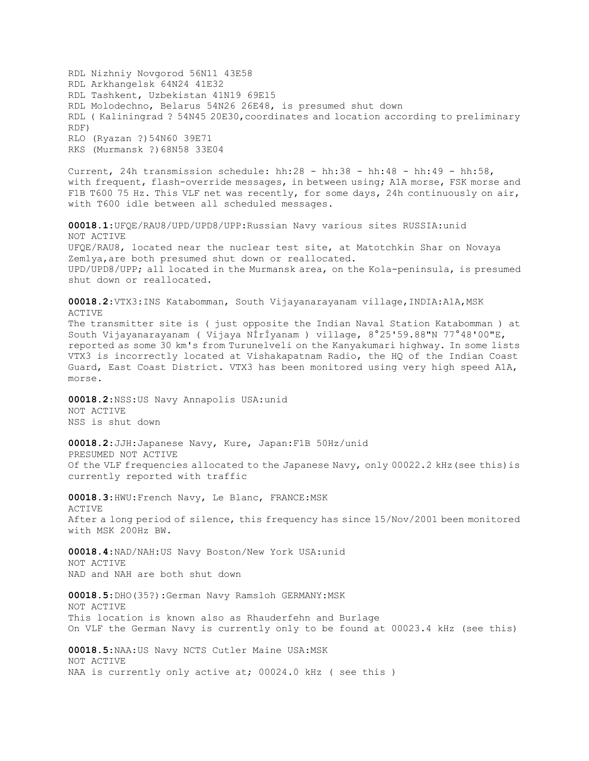RDL Nizhniy Novgorod 56N11 43E58 RDL Arkhangelsk 64N24 41E32 RDL Tashkent, Uzbekistan 41N19 69E15 RDL Molodechno, Belarus 54N26 26E48, is presumed shut down RDL ( Kaliningrad ? 54N45 20E30,coordinates and location according to preliminary RDF) RLO (Ryazan ?)54N60 39E71 RKS (Murmansk ?)68N58 33E04

Current, 24h transmission schedule: hh:28 - hh:38 - hh:48 - hh:49 - hh:58, with frequent, flash-override messages, in between using; A1A morse, FSK morse and F1B T600 75 Hz. This VLF net was recently, for some days, 24h continuously on air, with T600 idle between all scheduled messages.

**00018.1**:UFQE/RAU8/UPD/UPD8/UPP:Russian Navy various sites RUSSIA:unid NOT ACTIVE UFQE/RAU8, located near the nuclear test site, at Matotchkin Shar on Novaya Zemlya,are both presumed shut down or reallocated. UPD/UPD8/UPP; all located in the Murmansk area, on the Kola-peninsula, is presumed shut down or reallocated.

**00018.2**:VTX3:INS Katabomman, South Vijayanarayanam village,INDIA:A1A,MSK ACTIVE The transmitter site is ( just opposite the Indian Naval Station Katabomman ) at South Vijayanarayanam ( Vijaya NÍrÍyanam ) village, 8°25'59.88"N 77°48'00"E, reported as some 30 km's from Turunelveli on the Kanyakumari highway. In some lists VTX3 is incorrectly located at Vishakapatnam Radio, the HQ of the Indian Coast Guard, East Coast District. VTX3 has been monitored using very high speed A1A, morse.

**00018.2**:NSS:US Navy Annapolis USA:unid NOT ACTIVE NSS is shut down

**00018.2**:JJH:Japanese Navy, Kure, Japan:F1B 50Hz/unid PRESUMED NOT ACTIVE Of the VLF frequencies allocated to the Japanese Navy, only 00022.2 kHz(see this)is currently reported with traffic

**00018.3**:HWU:French Navy, Le Blanc, FRANCE:MSK ACTIVE After a long period of silence, this frequency has since 15/Nov/2001 been monitored with MSK 200Hz BW.

**00018.4**:NAD/NAH:US Navy Boston/New York USA:unid NOT ACTIVE NAD and NAH are both shut down

**00018.5**:DHO(35?):German Navy Ramsloh GERMANY:MSK NOT ACTIVE This location is known also as Rhauderfehn and Burlage On VLF the German Navy is currently only to be found at 00023.4 kHz (see this)

**00018.5**:NAA:US Navy NCTS Cutler Maine USA:MSK NOT ACTIVE NAA is currently only active at; 00024.0 kHz ( see this )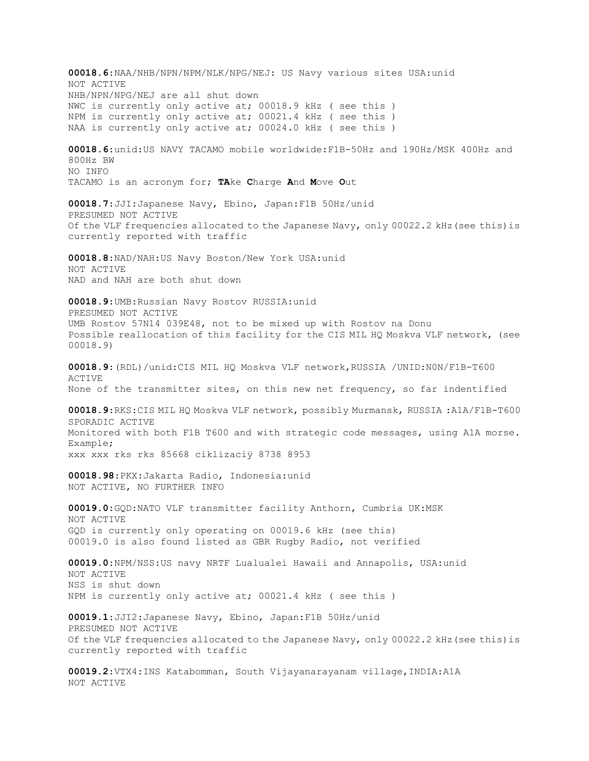**00018.6**:NAA/NHB/NPN/NPM/NLK/NPG/NEJ: US Navy various sites USA:unid NOT ACTIVE NHB/NPN/NPG/NEJ are all shut down NWC is currently only active at; 00018.9 kHz ( see this ) NPM is currently only active at; 00021.4 kHz ( see this ) NAA is currently only active at; 00024.0 kHz ( see this ) **00018.6**:unid:US NAVY TACAMO mobile worldwide:F1B-50Hz and 190Hz/MSK 400Hz and 800Hz BW NO INFO TACAMO is an acronym for; **TA**ke **C**harge **A**nd **M**ove **O**ut **00018.7**:JJI:Japanese Navy, Ebino, Japan:F1B 50Hz/unid PRESUMED NOT ACTIVE Of the VLF frequencies allocated to the Japanese Navy, only 00022.2 kHz(see this)is currently reported with traffic **00018.8**:NAD/NAH:US Navy Boston/New York USA:unid NOT ACTIVE NAD and NAH are both shut down **00018.9**:UMB:Russian Navy Rostov RUSSIA:unid PRESUMED NOT ACTIVE UMB Rostov 57N14 039E48, not to be mixed up with Rostov na Donu Possible reallocation of this facility for the CIS MIL HQ Moskva VLF network, (see 00018.9) **00018.9**:(RDL)/unid:CIS MIL HQ Moskva VLF network,RUSSIA /UNID:N0N/F1B-T600 ACTIVE None of the transmitter sites, on this new net frequency, so far indentified **00018.9**:RKS:CIS MIL HQ Moskva VLF network, possibly Murmansk, RUSSIA :A1A/F1B-T600 SPORADIC ACTIVE Monitored with both F1B T600 and with strategic code messages, using A1A morse. Example; xxx xxx rks rks 85668 ciklizaciÿ 8738 8953 **00018.98**:PKX:Jakarta Radio, Indonesia:unid NOT ACTIVE, NO FURTHER INFO **00019.0**:GQD:NATO VLF transmitter facility Anthorn, Cumbria UK:MSK NOT ACTIVE GQD is currently only operating on 00019.6 kHz (see this) 00019.0 is also found listed as GBR Rugby Radio, not verified **00019.0**:NPM/NSS:US navy NRTF Lualualei Hawaii and Annapolis, USA:unid NOT ACTIVE NSS is shut down NPM is currently only active at; 00021.4 kHz ( see this ) **00019.1**:JJI2:Japanese Navy, Ebino, Japan:F1B 50Hz/unid PRESUMED NOT ACTIVE Of the VLF frequencies allocated to the Japanese Navy, only 00022.2 kHz(see this)is currently reported with traffic **00019.2**:VTX4:INS Katabomman, South Vijayanarayanam village,INDIA:A1A NOT ACTIVE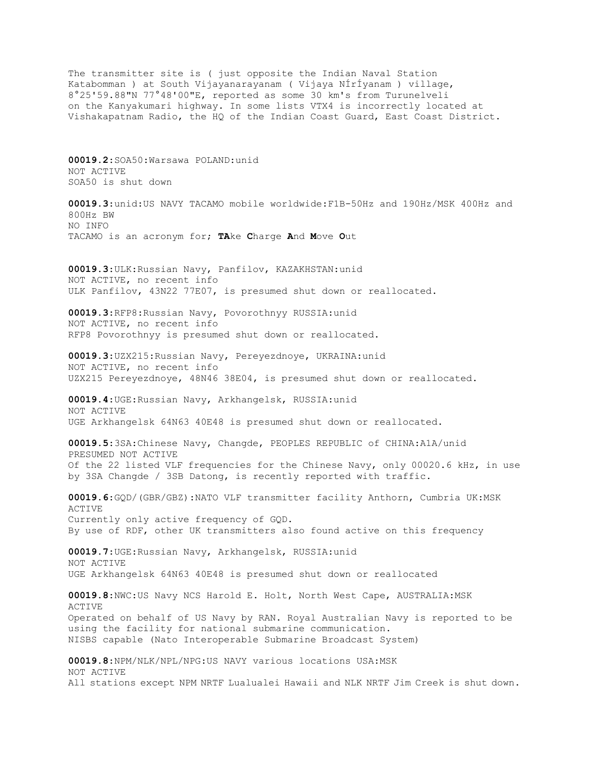The transmitter site is ( just opposite the Indian Naval Station Katabomman ) at South Vijayanarayanam ( Vijaya NÍrÍyanam ) village, 8°25'59.88"N 77°48'00"E, reported as some 30 km's from Turunelveli on the Kanyakumari highway. In some lists VTX4 is incorrectly located at Vishakapatnam Radio, the HQ of the Indian Coast Guard, East Coast District.

**00019.2**:SOA50:Warsawa POLAND:unid NOT ACTIVE SOA50 is shut down

**00019.3**:unid:US NAVY TACAMO mobile worldwide:F1B-50Hz and 190Hz/MSK 400Hz and 800Hz BW NO INFO TACAMO is an acronym for; **TA**ke **C**harge **A**nd **M**ove **O**ut

**00019.3**:ULK:Russian Navy, Panfilov, KAZAKHSTAN:unid NOT ACTIVE, no recent info ULK Panfilov, 43N22 77E07, is presumed shut down or reallocated.

**00019.3**:RFP8:Russian Navy, Povorothnyy RUSSIA:unid NOT ACTIVE, no recent info RFP8 Povorothnyy is presumed shut down or reallocated.

**00019.3**:UZX215:Russian Navy, Pereyezdnoye, UKRAINA:unid NOT ACTIVE, no recent info UZX215 Pereyezdnoye, 48N46 38E04, is presumed shut down or reallocated.

**00019.4**:UGE:Russian Navy, Arkhangelsk, RUSSIA:unid NOT ACTIVE UGE Arkhangelsk 64N63 40E48 is presumed shut down or reallocated.

**00019.5**:3SA:Chinese Navy, Changde, PEOPLES REPUBLIC of CHINA:A1A/unid PRESUMED NOT ACTIVE Of the 22 listed VLF frequencies for the Chinese Navy, only 00020.6 kHz, in use by 3SA Changde / 3SB Datong, is recently reported with traffic.

**00019.6**:GQD/(GBR/GBZ):NATO VLF transmitter facility Anthorn, Cumbria UK:MSK ACTIVE Currently only active frequency of GQD. By use of RDF, other UK transmitters also found active on this frequency

**00019.7**:UGE:Russian Navy, Arkhangelsk, RUSSIA:unid NOT ACTIVE UGE Arkhangelsk 64N63 40E48 is presumed shut down or reallocated

**00019.8**:NWC:US Navy NCS Harold E. Holt, North West Cape, AUSTRALIA:MSK ACTIVE Operated on behalf of US Navy by RAN. Royal Australian Navy is reported to be using the facility for national submarine communication. NISBS capable (Nato Interoperable Submarine Broadcast System)

**00019.8**:NPM/NLK/NPL/NPG:US NAVY various locations USA:MSK NOT ACTIVE All stations except NPM NRTF Lualualei Hawaii and NLK NRTF Jim Creek is shut down.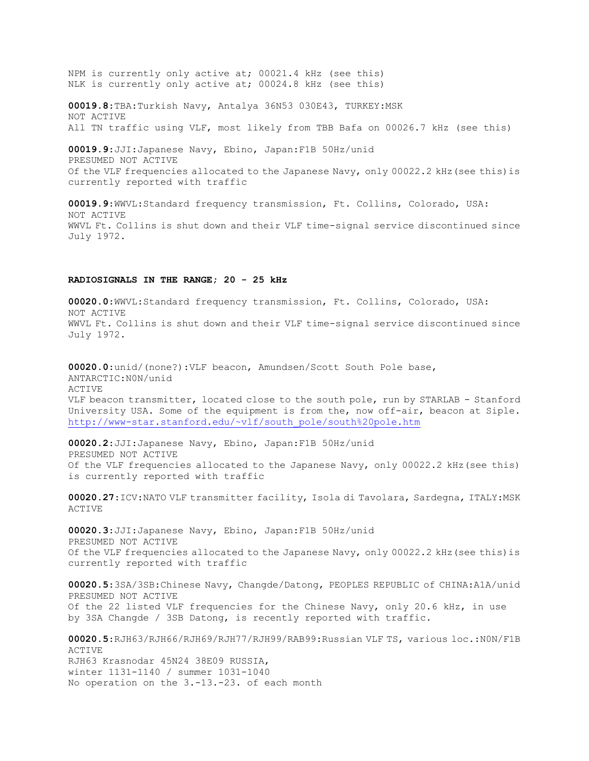NPM is currently only active at; 00021.4 kHz (see this) NLK is currently only active at; 00024.8 kHz (see this)

**00019.8**:TBA:Turkish Navy, Antalya 36N53 030E43, TURKEY:MSK NOT ACTIVE All TN traffic using VLF, most likely from TBB Bafa on 00026.7 kHz (see this)

**00019.9**:JJI:Japanese Navy, Ebino, Japan:F1B 50Hz/unid PRESUMED NOT ACTIVE Of the VLF frequencies allocated to the Japanese Navy, only 00022.2 kHz(see this)is currently reported with traffic

**00019.9**:WWVL:Standard frequency transmission, Ft. Collins, Colorado, USA: NOT ACTIVE WWVL Ft. Collins is shut down and their VLF time-signal service discontinued since July 1972.

## **RADIOSIGNALS IN THE RANGE; 20 - 25 kHz**

**00020.0**:WWVL:Standard frequency transmission, Ft. Collins, Colorado, USA: NOT ACTIVE WWVL Ft. Collins is shut down and their VLF time-signal service discontinued since July 1972.

**00020.0**:unid/(none?):VLF beacon, Amundsen/Scott South Pole base, ANTARCTIC:N0N/unid **ACTIVE** VLF beacon transmitter, located close to the south pole, run by STARLAB - Stanford University USA. Some of the equipment is from the, now off-air, beacon at Siple. [http://www-star.stanford.edu/~vlf/south\\_pole/south%20pole.htm](http://www-star.stanford.edu/~vlf/south_pole/south%20pole.htm)

**00020.2**:JJI:Japanese Navy, Ebino, Japan:F1B 50Hz/unid PRESUMED NOT ACTIVE Of the VLF frequencies allocated to the Japanese Navy, only 00022.2 kHz(see this) is currently reported with traffic

**00020.27**:ICV:NATO VLF transmitter facility, Isola di Tavolara, Sardegna, ITALY:MSK ACTIVE

**00020.3**:JJI:Japanese Navy, Ebino, Japan:F1B 50Hz/unid PRESUMED NOT ACTIVE Of the VLF frequencies allocated to the Japanese Navy, only 00022.2 kHz(see this)is currently reported with traffic

**00020.5**:3SA/3SB:Chinese Navy, Changde/Datong, PEOPLES REPUBLIC of CHINA:A1A/unid PRESUMED NOT ACTIVE Of the 22 listed VLF frequencies for the Chinese Navy, only 20.6 kHz, in use by 3SA Changde / 3SB Datong, is recently reported with traffic.

**00020.5**:RJH63/RJH66/RJH69/RJH77/RJH99/RAB99:Russian VLF TS, various loc.:N0N/F1B ACTIVE RJH63 Krasnodar 45N24 38E09 RUSSIA, winter 1131-1140 / summer 1031-1040 No operation on the 3.-13.-23. of each month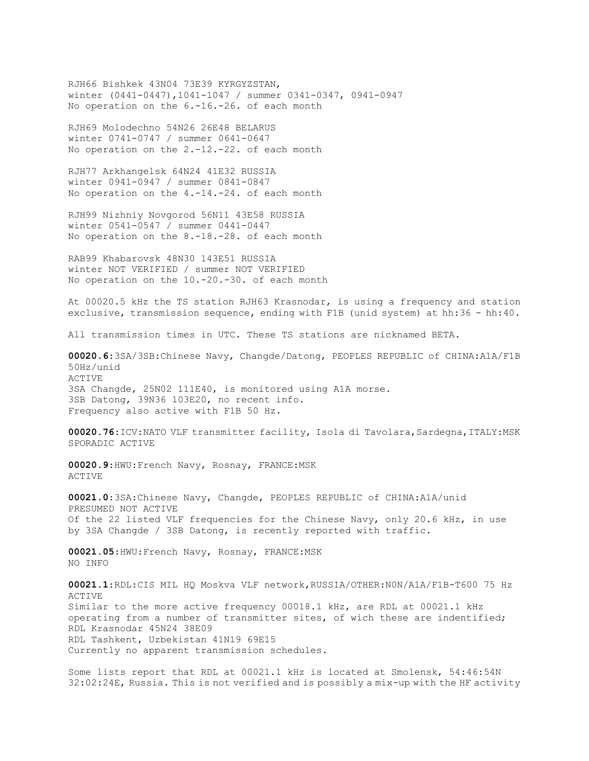RJH66 Bishkek 43N04 73E39 KYRGYZSTAN, winter (0441-0447),1041-1047 / summer 0341-0347, 0941-0947 No operation on the 6.-16.-26. of each month

RJH69 Molodechno 54N26 26E48 BELARUS winter 0741-0747 / summer 0641-0647 No operation on the 2.-12.-22. of each month

RJH77 Arkhangelsk 64N24 41E32 RUSSIA winter 0941-0947 / summer 0841-0847 No operation on the 4.-14.-24. of each month

RJH99 Nizhniy Novgorod 56N11 43E58 RUSSIA winter 0541-0547 / summer 0441-0447 No operation on the 8.-18.-28. of each month

RAB99 Khabarovsk 48N30 143E51 RUSSIA winter NOT VERIFIED / summer NOT VERIFIED No operation on the 10.-20.-30. of each month

At 00020.5 kHz the TS station RJH63 Krasnodar, is using a frequency and station exclusive, transmission sequence, ending with F1B (unid system) at hh:36 - hh:40.

All transmission times in UTC. These TS stations are nicknamed BETA.

**00020.6**:3SA/3SB:Chinese Navy, Changde/Datong, PEOPLES REPUBLIC of CHINA:A1A/F1B 50Hz/unid **ACTIVE** 3SA Changde, 25N02 111E40, is monitored using A1A morse. 3SB Datong, 39N36 103E20, no recent info. Frequency also active with F1B 50 Hz.

00020.76:ICV:NATO VLF transmitter facility, Isola di Tavolara, Sardegna, ITALY:MSK SPORADIC ACTIVE

**00020.9**:HWU:French Navy, Rosnay, FRANCE:MSK ACTIVE

**00021.0**:3SA:Chinese Navy, Changde, PEOPLES REPUBLIC of CHINA:A1A/unid PRESUMED NOT ACTIVE Of the 22 listed VLF frequencies for the Chinese Navy, only 20.6 kHz, in use by 3SA Changde / 3SB Datong, is recently reported with traffic.

**00021.05**:HWU:French Navy, Rosnay, FRANCE:MSK NO INFO

**00021.1**:RDL:CIS MIL HQ Moskva VLF network,RUSSIA/OTHER:N0N/A1A/F1B-T600 75 Hz **ACTIVE** Similar to the more active frequency 00018.1 kHz, are RDL at 00021.1 kHz operating from a number of transmitter sites, of wich these are indentified; RDL Krasnodar 45N24 38E09 RDL Tashkent, Uzbekistan 41N19 69E15 Currently no apparent transmission schedules.

Some lists report that RDL at 00021.1 kHz is located at Smolensk, 54:46:54N 32:02:24E, Russia. This is not verified and is possibly a mix-up with the HF activity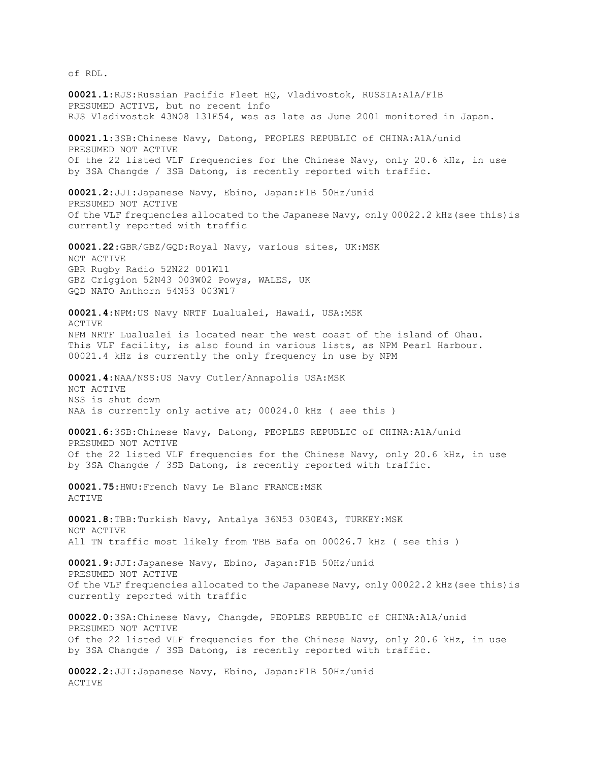of RDL.

**00021.1**:RJS:Russian Pacific Fleet HQ, Vladivostok, RUSSIA:A1A/F1B PRESUMED ACTIVE, but no recent info RJS Vladivostok 43N08 131E54, was as late as June 2001 monitored in Japan. **00021.1**:3SB:Chinese Navy, Datong, PEOPLES REPUBLIC of CHINA:A1A/unid PRESUMED NOT ACTIVE Of the 22 listed VLF frequencies for the Chinese Navy, only 20.6 kHz, in use by 3SA Changde / 3SB Datong, is recently reported with traffic. **00021.2**:JJI:Japanese Navy, Ebino, Japan:F1B 50Hz/unid PRESUMED NOT ACTIVE Of the VLF frequencies allocated to the Japanese Navy, only 00022.2 kHz(see this)is currently reported with traffic **00021.22**:GBR/GBZ/GQD:Royal Navy, various sites, UK:MSK NOT ACTIVE GBR Rugby Radio 52N22 001W11 GBZ Criggion 52N43 003W02 Powys, WALES, UK GQD NATO Anthorn 54N53 003W17 **00021.4**:NPM:US Navy NRTF Lualualei, Hawaii, USA:MSK ACTIVE NPM NRTF Lualualei is located near the west coast of the island of Ohau. This VLF facility, is also found in various lists, as NPM Pearl Harbour. 00021.4 kHz is currently the only frequency in use by NPM **00021.4**:NAA/NSS:US Navy Cutler/Annapolis USA:MSK NOT ACTIVE NSS is shut down NAA is currently only active at; 00024.0 kHz ( see this ) **00021.6**:3SB:Chinese Navy, Datong, PEOPLES REPUBLIC of CHINA:A1A/unid PRESUMED NOT ACTIVE Of the 22 listed VLF frequencies for the Chinese Navy, only 20.6 kHz, in use by 3SA Changde / 3SB Datong, is recently reported with traffic. **00021.75**:HWU:French Navy Le Blanc FRANCE:MSK ACTIVE **00021.8**:TBB:Turkish Navy, Antalya 36N53 030E43, TURKEY:MSK NOT ACTIVE All TN traffic most likely from TBB Bafa on 00026.7 kHz ( see this ) **00021.9**:JJI:Japanese Navy, Ebino, Japan:F1B 50Hz/unid PRESUMED NOT ACTIVE Of the VLF frequencies allocated to the Japanese Navy, only 00022.2 kHz(see this)is currently reported with traffic **00022.0**:3SA:Chinese Navy, Changde, PEOPLES REPUBLIC of CHINA:A1A/unid PRESUMED NOT ACTIVE Of the 22 listed VLF frequencies for the Chinese Navy, only 20.6 kHz, in use by 3SA Changde / 3SB Datong, is recently reported with traffic. **00022.2**:JJI:Japanese Navy, Ebino, Japan:F1B 50Hz/unid ACTIVE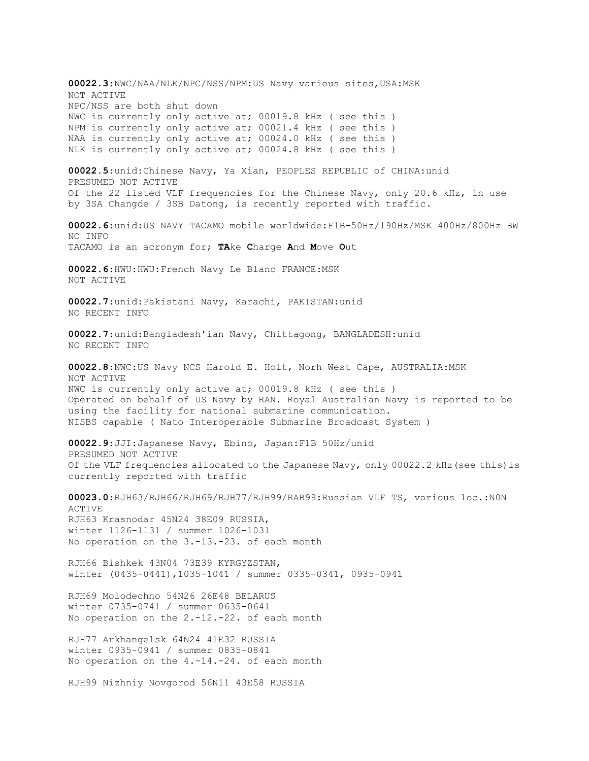**00022.3**:NWC/NAA/NLK/NPC/NSS/NPM:US Navy various sites,USA:MSK NOT ACTIVE NPC/NSS are both shut down NWC is currently only active at; 00019.8 kHz ( see this ) NPM is currently only active at; 00021.4 kHz ( see this ) NAA is currently only active at; 00024.0 kHz ( see this ) NLK is currently only active at; 00024.8 kHz ( see this ) **00022.5**:unid:Chinese Navy, Ya Xian, PEOPLES REPUBLIC of CHINA:unid PRESUMED NOT ACTIVE Of the 22 listed VLF frequencies for the Chinese Navy, only 20.6 kHz, in use by 3SA Changde / 3SB Datong, is recently reported with traffic. **00022.6**:unid:US NAVY TACAMO mobile worldwide:F1B-50Hz/190Hz/MSK 400Hz/800Hz BW NO INFO TACAMO is an acronym for; **TA**ke **C**harge **A**nd **M**ove **O**ut **00022.6**:HWU:HWU:French Navy Le Blanc FRANCE:MSK NOT ACTIVE **00022.7**:unid:Pakistani Navy, Karachi, PAKISTAN:unid NO RECENT INFO **00022.7**:unid:Bangladesh'ian Navy, Chittagong, BANGLADESH:unid NO RECENT INFO **00022.8**:NWC:US Navy NCS Harold E. Holt, Norh West Cape, AUSTRALIA:MSK NOT ACTIVE NWC is currently only active at; 00019.8 kHz ( see this ) Operated on behalf of US Navy by RAN. Royal Australian Navy is reported to be using the facility for national submarine communication. NISBS capable ( Nato Interoperable Submarine Broadcast System ) **00022.9**:JJI:Japanese Navy, Ebino, Japan:F1B 50Hz/unid PRESUMED NOT ACTIVE Of the VLF frequencies allocated to the Japanese Navy, only 00022.2 kHz(see this)is currently reported with traffic **00023.0**:RJH63/RJH66/RJH69/RJH77/RJH99/RAB99:Russian VLF TS, various loc.:N0N ACTIVE RJH63 Krasnodar 45N24 38E09 RUSSIA, winter 1126-1131 / summer 1026-1031 No operation on the 3.-13.-23. of each month RJH66 Bishkek 43N04 73E39 KYRGYZSTAN, winter (0435-0441),1035-1041 / summer 0335-0341, 0935-0941 RJH69 Molodechno 54N26 26E48 BELARUS winter 0735-0741 / summer 0635-0641 No operation on the 2.-12.-22. of each month RJH77 Arkhangelsk 64N24 41E32 RUSSIA winter 0935-0941 / summer 0835-0841 No operation on the 4.-14.-24. of each month RJH99 Nizhniy Novgorod 56N11 43E58 RUSSIA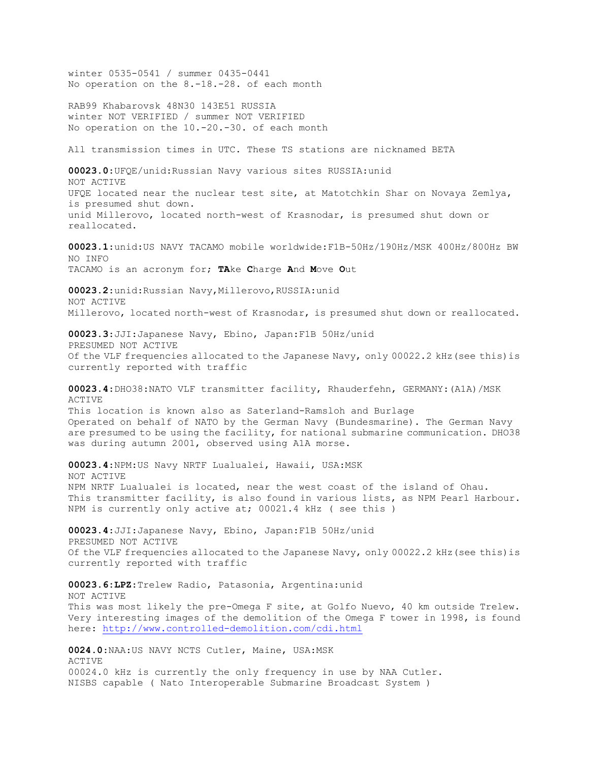winter 0535-0541 / summer 0435-0441 No operation on the 8.-18.-28. of each month RAB99 Khabarovsk 48N30 143E51 RUSSIA winter NOT VERIFIED / summer NOT VERIFIED No operation on the 10.-20.-30. of each month All transmission times in UTC. These TS stations are nicknamed BETA **00023.0**:UFQE/unid:Russian Navy various sites RUSSIA:unid NOT ACTIVE UFQE located near the nuclear test site, at Matotchkin Shar on Novaya Zemlya, is presumed shut down. unid Millerovo, located north-west of Krasnodar, is presumed shut down or reallocated. **00023.1**:unid:US NAVY TACAMO mobile worldwide:F1B-50Hz/190Hz/MSK 400Hz/800Hz BW NO INFO TACAMO is an acronym for; **TA**ke **C**harge **A**nd **M**ove **O**ut **00023.2**:unid:Russian Navy,Millerovo,RUSSIA:unid NOT ACTIVE Millerovo, located north-west of Krasnodar, is presumed shut down or reallocated. **00023.3**:JJI:Japanese Navy, Ebino, Japan:F1B 50Hz/unid PRESUMED NOT ACTIVE Of the VLF frequencies allocated to the Japanese Navy, only 00022.2 kHz(see this)is currently reported with traffic **00023.4**:DHO38:NATO VLF transmitter facility, Rhauderfehn, GERMANY:(A1A)/MSK ACTIVE This location is known also as Saterland-Ramsloh and Burlage Operated on behalf of NATO by the German Navy (Bundesmarine). The German Navy are presumed to be using the facility, for national submarine communication. DHO38 was during autumn 2001, observed using A1A morse. **00023.4**:NPM:US Navy NRTF Lualualei, Hawaii, USA:MSK NOT ACTIVE NPM NRTF Lualualei is located, near the west coast of the island of Ohau. This transmitter facility, is also found in various lists, as NPM Pearl Harbour. NPM is currently only active at; 00021.4 kHz ( see this ) **00023.4**:JJI:Japanese Navy, Ebino, Japan:F1B 50Hz/unid PRESUMED NOT ACTIVE Of the VLF frequencies allocated to the Japanese Navy, only 00022.2 kHz(see this)is currently reported with traffic **00023.6:LPZ**:Trelew Radio, Patasonia, Argentina:unid NOT ACTIVE This was most likely the pre-Omega F site, at Golfo Nuevo, 40 km outside Trelew. Very interesting images of the demolition of the Omega F tower in 1998, is found here:<http://www.controlled-demolition.com/cdi.html> **0024.0**:NAA:US NAVY NCTS Cutler, Maine, USA:MSK ACTIVE 00024.0 kHz is currently the only frequency in use by NAA Cutler. NISBS capable ( Nato Interoperable Submarine Broadcast System )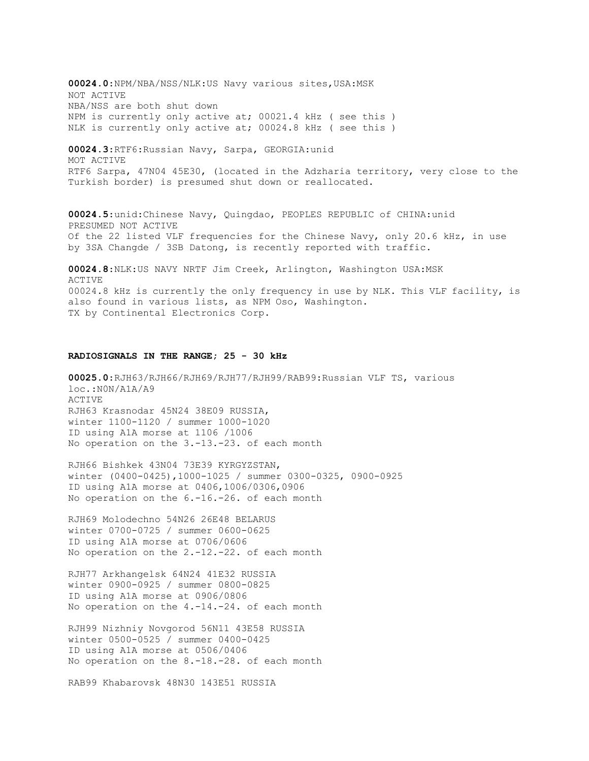**00024.0**:NPM/NBA/NSS/NLK:US Navy various sites,USA:MSK NOT ACTIVE NBA/NSS are both shut down NPM is currently only active at; 00021.4 kHz ( see this ) NLK is currently only active at; 00024.8 kHz ( see this ) **00024.3**:RTF6:Russian Navy, Sarpa, GEORGIA:unid MOT ACTIVE RTF6 Sarpa, 47N04 45E30, (located in the Adzharia territory, very close to the Turkish border) is presumed shut down or reallocated. **00024.5**:unid:Chinese Navy, Quingdao, PEOPLES REPUBLIC of CHINA:unid PRESUMED NOT ACTIVE Of the 22 listed VLF frequencies for the Chinese Navy, only 20.6 kHz, in use by 3SA Changde / 3SB Datong, is recently reported with traffic. **00024.8**:NLK:US NAVY NRTF Jim Creek, Arlington, Washington USA:MSK ACTIVE 00024.8 kHz is currently the only frequency in use by NLK. This VLF facility, is also found in various lists, as NPM Oso, Washington.

#### TX by Continental Electronics Corp.

#### **RADIOSIGNALS IN THE RANGE; 25 - 30 kHz**

**00025.0**:RJH63/RJH66/RJH69/RJH77/RJH99/RAB99:Russian VLF TS, various loc.:N0N/A1A/A9 ACTIVE RJH63 Krasnodar 45N24 38E09 RUSSIA, winter 1100-1120 / summer 1000-1020 ID using A1A morse at 1106 /1006 No operation on the 3.-13.-23. of each month

RJH66 Bishkek 43N04 73E39 KYRGYZSTAN, winter (0400-0425),1000-1025 / summer 0300-0325, 0900-0925 ID using A1A morse at 0406,1006/0306,0906 No operation on the 6.-16.-26. of each month

RJH69 Molodechno 54N26 26E48 BELARUS winter 0700-0725 / summer 0600-0625 ID using A1A morse at 0706/0606 No operation on the 2.-12.-22. of each month

RJH77 Arkhangelsk 64N24 41E32 RUSSIA winter 0900-0925 / summer 0800-0825 ID using A1A morse at 0906/0806 No operation on the 4.-14.-24. of each month

RJH99 Nizhniy Novgorod 56N11 43E58 RUSSIA winter 0500-0525 / summer 0400-0425 ID using A1A morse at 0506/0406 No operation on the 8.-18.-28. of each month

RAB99 Khabarovsk 48N30 143E51 RUSSIA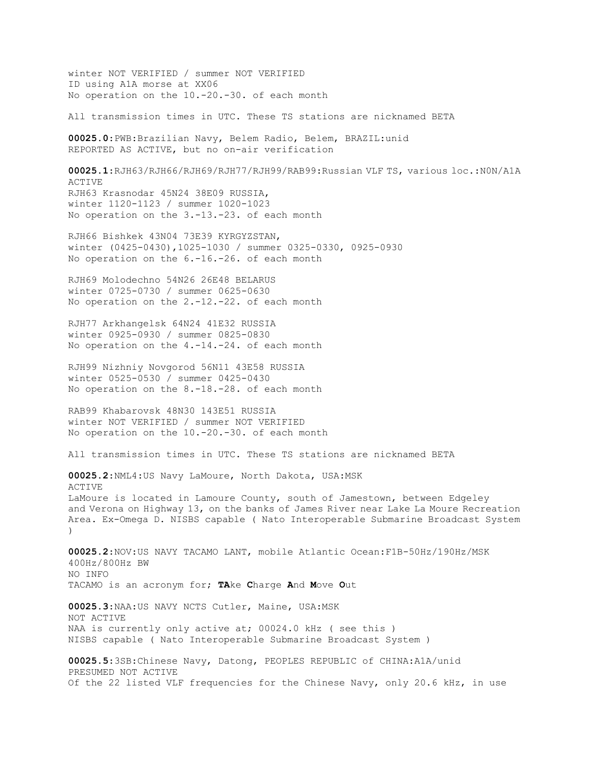winter NOT VERIFIED / summer NOT VERIFIED ID using A1A morse at XX06 No operation on the 10.-20.-30. of each month

All transmission times in UTC. These TS stations are nicknamed BETA

**00025.0**:PWB:Brazilian Navy, Belem Radio, Belem, BRAZIL:unid REPORTED AS ACTIVE, but no on-air verification

**00025.1**:RJH63/RJH66/RJH69/RJH77/RJH99/RAB99:Russian VLF TS, various loc.:N0N/A1A ACTIVE RJH63 Krasnodar 45N24 38E09 RUSSIA, winter 1120-1123 / summer 1020-1023 No operation on the 3.-13.-23. of each month

RJH66 Bishkek 43N04 73E39 KYRGYZSTAN, winter (0425-0430),1025-1030 / summer 0325-0330, 0925-0930 No operation on the 6.-16.-26. of each month

RJH69 Molodechno 54N26 26E48 BELARUS winter 0725-0730 / summer 0625-0630 No operation on the 2.-12.-22. of each month

RJH77 Arkhangelsk 64N24 41E32 RUSSIA winter 0925-0930 / summer 0825-0830 No operation on the 4.-14.-24. of each month

RJH99 Nizhniy Novgorod 56N11 43E58 RUSSIA winter 0525-0530 / summer 0425-0430 No operation on the 8.-18.-28. of each month

RAB99 Khabarovsk 48N30 143E51 RUSSIA winter NOT VERIFIED / summer NOT VERIFIED No operation on the 10.-20.-30. of each month

All transmission times in UTC. These TS stations are nicknamed BETA

**00025.2**:NML4:US Navy LaMoure, North Dakota, USA:MSK ACTIVE LaMoure is located in Lamoure County, south of Jamestown, between Edgeley and Verona on Highway 13, on the banks of James River near Lake La Moure Recreation Area. Ex-Omega D. NISBS capable ( Nato Interoperable Submarine Broadcast System  $\lambda$ 

**00025.2**:NOV:US NAVY TACAMO LANT, mobile Atlantic Ocean:F1B-50Hz/190Hz/MSK 400Hz/800Hz BW NO INFO TACAMO is an acronym for; **TA**ke **C**harge **A**nd **M**ove **O**ut

**00025.3**:NAA:US NAVY NCTS Cutler, Maine, USA:MSK NOT ACTIVE NAA is currently only active at; 00024.0 kHz ( see this ) NISBS capable ( Nato Interoperable Submarine Broadcast System )

**00025.5**:3SB:Chinese Navy, Datong, PEOPLES REPUBLIC of CHINA:A1A/unid PRESUMED NOT ACTIVE Of the 22 listed VLF frequencies for the Chinese Navy, only 20.6 kHz, in use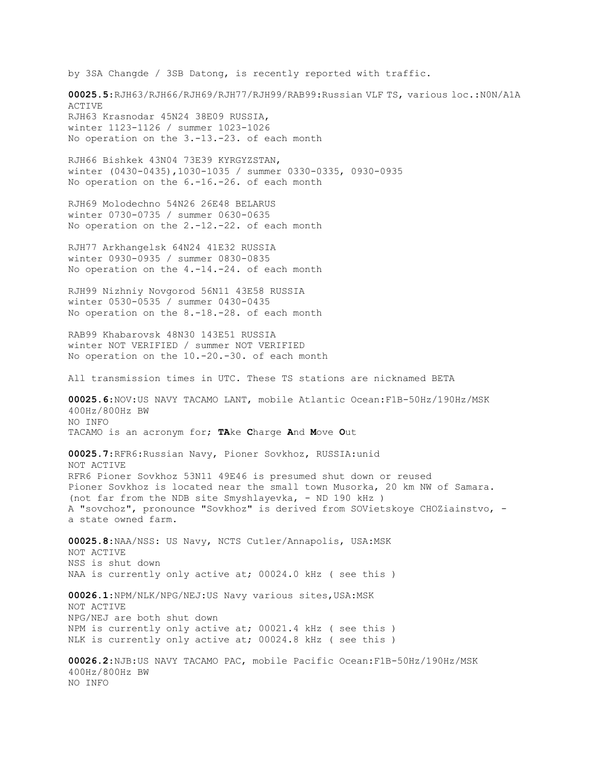by 3SA Changde / 3SB Datong, is recently reported with traffic.

**00025.5**:RJH63/RJH66/RJH69/RJH77/RJH99/RAB99:Russian VLF TS, various loc.:N0N/A1A ACTIVE RJH63 Krasnodar 45N24 38E09 RUSSIA, winter 1123-1126 / summer 1023-1026 No operation on the 3.-13.-23. of each month

RJH66 Bishkek 43N04 73E39 KYRGYZSTAN, winter (0430-0435),1030-1035 / summer 0330-0335, 0930-0935 No operation on the 6.-16.-26. of each month

RJH69 Molodechno 54N26 26E48 BELARUS winter 0730-0735 / summer 0630-0635 No operation on the 2.-12.-22. of each month

RJH77 Arkhangelsk 64N24 41E32 RUSSIA winter 0930-0935 / summer 0830-0835 No operation on the 4.-14.-24. of each month

RJH99 Nizhniy Novgorod 56N11 43E58 RUSSIA winter 0530-0535 / summer 0430-0435 No operation on the 8.-18.-28. of each month

RAB99 Khabarovsk 48N30 143E51 RUSSIA winter NOT VERIFIED / summer NOT VERIFIED No operation on the 10.-20.-30. of each month

All transmission times in UTC. These TS stations are nicknamed BETA

**00025.6**:NOV:US NAVY TACAMO LANT, mobile Atlantic Ocean:F1B-50Hz/190Hz/MSK 400Hz/800Hz BW NO INFO TACAMO is an acronym for; **TA**ke **C**harge **A**nd **M**ove **O**ut

**00025.7**:RFR6:Russian Navy, Pioner Sovkhoz, RUSSIA:unid NOT ACTIVE RFR6 Pioner Sovkhoz 53N11 49E46 is presumed shut down or reused Pioner Sovkhoz is located near the small town Musorka, 20 km NW of Samara. (not far from the NDB site Smyshlayevka, - ND 190 kHz ) A "sovchoz", pronounce "Sovkhoz" is derived from SOVietskoye CHOZiainstvo, a state owned farm.

**00025.8**:NAA/NSS: US Navy, NCTS Cutler/Annapolis, USA:MSK NOT ACTIVE NSS is shut down NAA is currently only active at; 00024.0 kHz ( see this )

**00026.1**:NPM/NLK/NPG/NEJ:US Navy various sites,USA:MSK NOT ACTIVE NPG/NEJ are both shut down NPM is currently only active at; 00021.4 kHz ( see this ) NLK is currently only active at; 00024.8 kHz ( see this )

**00026.2**:NJB:US NAVY TACAMO PAC, mobile Pacific Ocean:F1B-50Hz/190Hz/MSK 400Hz/800Hz BW NO INFO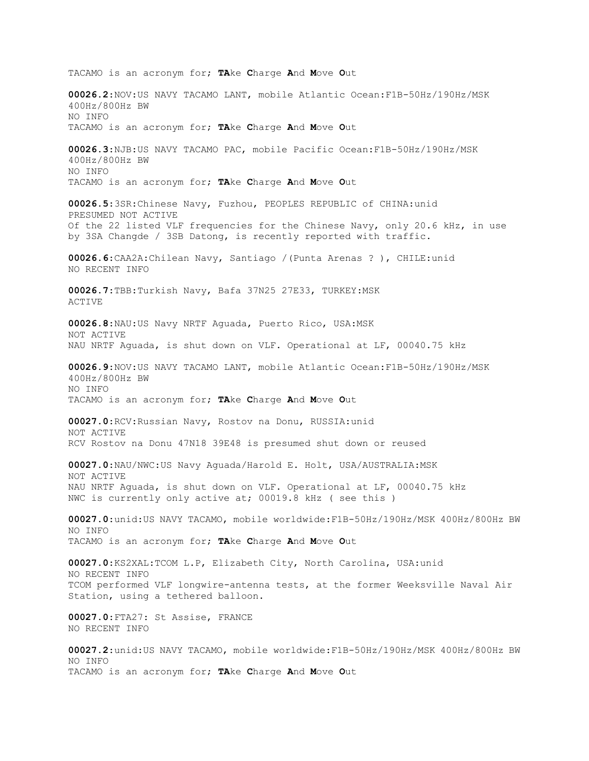TACAMO is an acronym for; **TA**ke **C**harge **A**nd **M**ove **O**ut **00026.2**:NOV:US NAVY TACAMO LANT, mobile Atlantic Ocean:F1B-50Hz/190Hz/MSK 400Hz/800Hz BW NO INFO TACAMO is an acronym for; **TA**ke **C**harge **A**nd **M**ove **O**ut **00026.3**:NJB:US NAVY TACAMO PAC, mobile Pacific Ocean:F1B-50Hz/190Hz/MSK 400Hz/800Hz BW NO INFO TACAMO is an acronym for; **TA**ke **C**harge **A**nd **M**ove **O**ut **00026.5**:3SR:Chinese Navy, Fuzhou, PEOPLES REPUBLIC of CHINA:unid PRESUMED NOT ACTIVE Of the 22 listed VLF frequencies for the Chinese Navy, only 20.6 kHz, in use by 3SA Changde / 3SB Datong, is recently reported with traffic. **00026.6**:CAA2A:Chilean Navy, Santiago /(Punta Arenas ? ), CHILE:unid NO RECENT INFO **00026.7**:TBB:Turkish Navy, Bafa 37N25 27E33, TURKEY:MSK ACTIVE **00026.8**:NAU:US Navy NRTF Aguada, Puerto Rico, USA:MSK NOT ACTIVE NAU NRTF Aguada, is shut down on VLF. Operational at LF, 00040.75 kHz **00026.9**:NOV:US NAVY TACAMO LANT, mobile Atlantic Ocean:F1B-50Hz/190Hz/MSK 400Hz/800Hz BW NO INFO TACAMO is an acronym for; **TA**ke **C**harge **A**nd **M**ove **O**ut **00027.0**:RCV:Russian Navy, Rostov na Donu, RUSSIA:unid NOT ACTIVE RCV Rostov na Donu 47N18 39E48 is presumed shut down or reused **00027.0**:NAU/NWC:US Navy Aguada/Harold E. Holt, USA/AUSTRALIA:MSK NOT ACTIVE NAU NRTF Aguada, is shut down on VLF. Operational at LF, 00040.75 kHz NWC is currently only active at; 00019.8 kHz ( see this ) **00027.0**:unid:US NAVY TACAMO, mobile worldwide:F1B-50Hz/190Hz/MSK 400Hz/800Hz BW NO INFO TACAMO is an acronym for; **TA**ke **C**harge **A**nd **M**ove **O**ut **00027.0**:KS2XAL:TCOM L.P, Elizabeth City, North Carolina, USA:unid NO RECENT INFO TCOM performed VLF longwire-antenna tests, at the former Weeksville Naval Air Station, using a tethered balloon. **00027.0**:FTA27: St Assise, FRANCE NO RECENT INFO **00027.2**:unid:US NAVY TACAMO, mobile worldwide:F1B-50Hz/190Hz/MSK 400Hz/800Hz BW NO INFO TACAMO is an acronym for; **TA**ke **C**harge **A**nd **M**ove **O**ut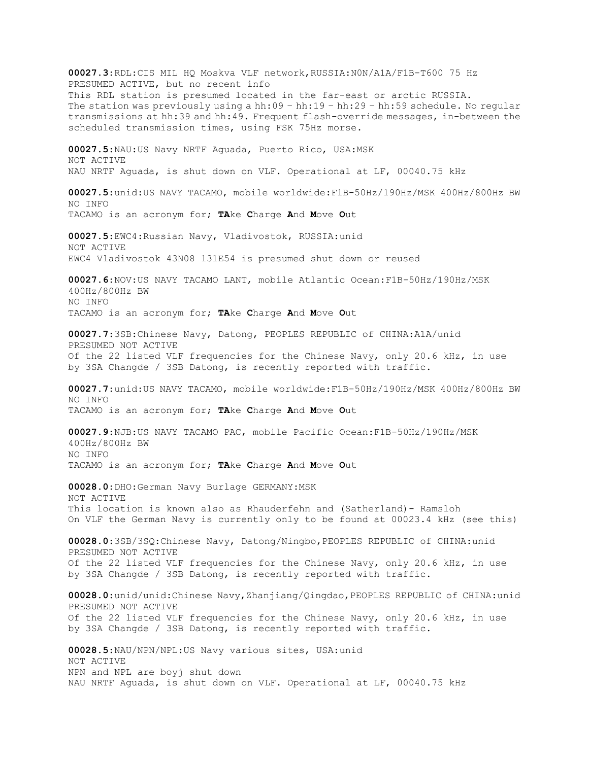**00027.3**:RDL:CIS MIL HQ Moskva VLF network,RUSSIA:N0N/A1A/F1B-T600 75 Hz PRESUMED ACTIVE, but no recent info This RDL station is presumed located in the far-east or arctic RUSSIA. The station was previously using a hh:09 – hh:19 – hh:29 – hh:59 schedule. No regular transmissions at hh:39 and hh:49. Frequent flash-override messages, in-between the scheduled transmission times, using FSK 75Hz morse. **00027.5**:NAU:US Navy NRTF Aguada, Puerto Rico, USA:MSK NOT ACTIVE NAU NRTF Aguada, is shut down on VLF. Operational at LF, 00040.75 kHz **00027.5**:unid:US NAVY TACAMO, mobile worldwide:F1B-50Hz/190Hz/MSK 400Hz/800Hz BW NO INFO TACAMO is an acronym for; **TA**ke **C**harge **A**nd **M**ove **O**ut **00027.5**:EWC4:Russian Navy, Vladivostok, RUSSIA:unid NOT ACTIVE EWC4 Vladivostok 43N08 131E54 is presumed shut down or reused **00027.6**:NOV:US NAVY TACAMO LANT, mobile Atlantic Ocean:F1B-50Hz/190Hz/MSK 400Hz/800Hz BW NO INFO TACAMO is an acronym for; **TA**ke **C**harge **A**nd **M**ove **O**ut **00027.7**:3SB:Chinese Navy, Datong, PEOPLES REPUBLIC of CHINA:A1A/unid PRESUMED NOT ACTIVE Of the 22 listed VLF frequencies for the Chinese Navy, only 20.6 kHz, in use by 3SA Changde / 3SB Datong, is recently reported with traffic. **00027.7**:unid:US NAVY TACAMO, mobile worldwide:F1B-50Hz/190Hz/MSK 400Hz/800Hz BW NO INFO TACAMO is an acronym for; **TA**ke **C**harge **A**nd **M**ove **O**ut **00027.9**:NJB:US NAVY TACAMO PAC, mobile Pacific Ocean:F1B-50Hz/190Hz/MSK 400Hz/800Hz BW NO INFO TACAMO is an acronym for; **TA**ke **C**harge **A**nd **M**ove **O**ut **00028.0**:DHO:German Navy Burlage GERMANY:MSK NOT ACTIVE This location is known also as Rhauderfehn and (Satherland)- Ramsloh On VLF the German Navy is currently only to be found at 00023.4 kHz (see this) **00028.0**:3SB/3SQ:Chinese Navy, Datong/Ningbo,PEOPLES REPUBLIC of CHINA:unid PRESUMED NOT ACTIVE Of the 22 listed VLF frequencies for the Chinese Navy, only 20.6 kHz, in use by 3SA Changde / 3SB Datong, is recently reported with traffic. **00028.0**:unid/unid:Chinese Navy,Zhanjiang/Qingdao,PEOPLES REPUBLIC of CHINA:unid PRESUMED NOT ACTIVE Of the 22 listed VLF frequencies for the Chinese Navy, only 20.6 kHz, in use by 3SA Changde / 3SB Datong, is recently reported with traffic. **00028.5**:NAU/NPN/NPL:US Navy various sites, USA:unid NOT ACTIVE NPN and NPL are boyj shut down NAU NRTF Aguada, is shut down on VLF. Operational at LF, 00040.75 kHz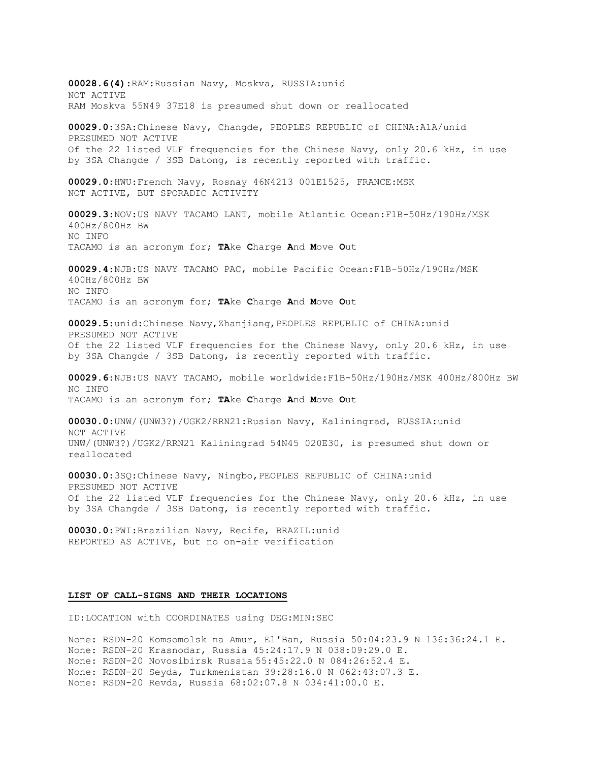**00028.6(4)**:RAM:Russian Navy, Moskva, RUSSIA:unid NOT ACTIVE RAM Moskva 55N49 37E18 is presumed shut down or reallocated **00029.0**:3SA:Chinese Navy, Changde, PEOPLES REPUBLIC of CHINA:A1A/unid PRESUMED NOT ACTIVE Of the 22 listed VLF frequencies for the Chinese Navy, only 20.6 kHz, in use by 3SA Changde / 3SB Datong, is recently reported with traffic. **00029.0**:HWU:French Navy, Rosnay 46N4213 001E1525, FRANCE:MSK NOT ACTIVE, BUT SPORADIC ACTIVITY **00029.3**:NOV:US NAVY TACAMO LANT, mobile Atlantic Ocean:F1B-50Hz/190Hz/MSK 400Hz/800Hz BW NO INFO TACAMO is an acronym for; **TA**ke **C**harge **A**nd **M**ove **O**ut **00029.4**:NJB:US NAVY TACAMO PAC, mobile Pacific Ocean:F1B-50Hz/190Hz/MSK 400Hz/800Hz BW NO INFO TACAMO is an acronym for; **TA**ke **C**harge **A**nd **M**ove **O**ut **00029.5**:unid:Chinese Navy,Zhanjiang,PEOPLES REPUBLIC of CHINA:unid PRESUMED NOT ACTIVE Of the 22 listed VLF frequencies for the Chinese Navy, only 20.6 kHz, in use by 3SA Changde / 3SB Datong, is recently reported with traffic. **00029.6**:NJB:US NAVY TACAMO, mobile worldwide:F1B-50Hz/190Hz/MSK 400Hz/800Hz BW NO INFO TACAMO is an acronym for; **TA**ke **C**harge **A**nd **M**ove **O**ut **00030.0**:UNW/(UNW3?)/UGK2/RRN21:Rusian Navy, Kaliningrad, RUSSIA:unid NOT ACTIVE UNW/(UNW3?)/UGK2/RRN21 Kaliningrad 54N45 020E30, is presumed shut down or reallocated **00030.0**:3SQ:Chinese Navy, Ningbo,PEOPLES REPUBLIC of CHINA:unid PRESUMED NOT ACTIVE Of the 22 listed VLF frequencies for the Chinese Navy, only 20.6 kHz, in use by 3SA Changde / 3SB Datong, is recently reported with traffic. **00030.0**:PWI:Brazilian Navy, Recife, BRAZIL:unid REPORTED AS ACTIVE, but no on-air verification **LIST OF CALL-SIGNS AND THEIR LOCATIONS** ID:LOCATION with COORDINATES using DEG:MIN:SEC

None: RSDN-20 Komsomolsk na Amur, El'Ban, Russia 50:04:23.9 N 136:36:24.1 E. None: RSDN-20 Krasnodar, Russia 45:24:17.9 N 038:09:29.0 E. None: RSDN-20 Novosibirsk Russia 55:45:22.0 N 084:26:52.4 E. None: RSDN-20 Seyda, Turkmenistan 39:28:16.0 N 062:43:07.3 E. None: RSDN-20 Revda, Russia 68:02:07.8 N 034:41:00.0 E.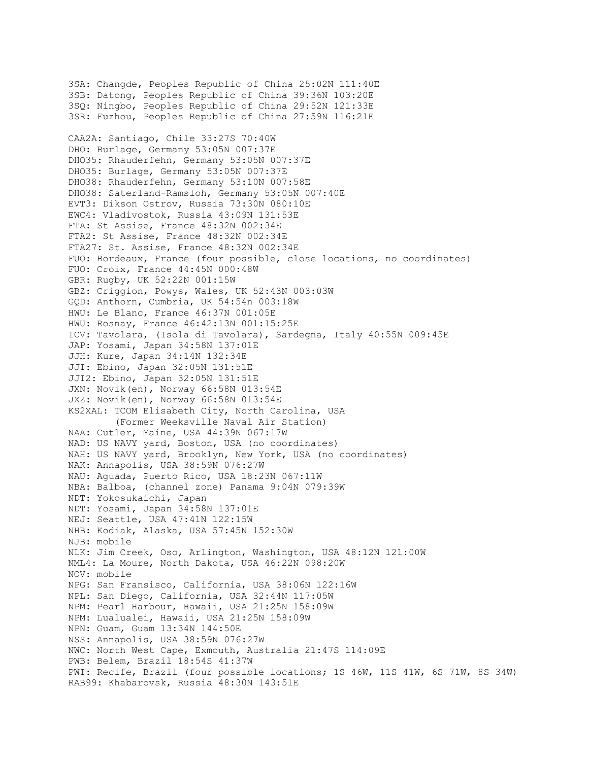3SA: Changde, Peoples Republic of China 25:02N 111:40E 3SB: Datong, Peoples Republic of China 39:36N 103:20E 3SQ: Ningbo, Peoples Republic of China 29:52N 121:33E 3SR: Fuzhou, Peoples Republic of China 27:59N 116:21E CAA2A: Santiago, Chile 33:27S 70:40W DHO: Burlage, Germany 53:05N 007:37E DHO35: Rhauderfehn, Germany 53:05N 007:37E DHO35: Burlage, Germany 53:05N 007:37E DHO38: Rhauderfehn, Germany 53:10N 007:58E DHO38: Saterland-Ramsloh, Germany 53:05N 007:40E EVT3: Dikson Ostrov, Russia 73:30N 080:10E EWC4: Vladivostok, Russia 43:09N 131:53E FTA: St Assise, France 48:32N 002:34E FTA2: St Assise, France 48:32N 002:34E FTA27: St. Assise, France 48:32N 002:34E FUO: Bordeaux, France (four possible, close locations, no coordinates) FUO: Croix, France 44:45N 000:48W GBR: Rugby, UK 52:22N 001:15W GBZ: Criggion, Powys, Wales, UK 52:43N 003:03W GQD: Anthorn, Cumbria, UK 54:54n 003:18W HWU: Le Blanc, France 46:37N 001:05E HWU: Rosnay, France 46:42:13N 001:15:25E ICV: Tavolara, (Isola di Tavolara), Sardegna, Italy 40:55N 009:45E JAP: Yosami, Japan 34:58N 137:01E JJH: Kure, Japan 34:14N 132:34E JJI: Ebino, Japan 32:05N 131:51E JJI2: Ebino, Japan 32:05N 131:51E JXN: Novik(en), Norway 66:58N 013:54E JXZ: Novik(en), Norway 66:58N 013:54E KS2XAL: TCOM Elisabeth City, North Carolina, USA (Former Weeksville Naval Air Station) NAA: Cutler, Maine, USA 44:39N 067:17W NAD: US NAVY yard, Boston, USA (no coordinates) NAH: US NAVY yard, Brooklyn, New York, USA (no coordinates) NAK: Annapolis, USA 38:59N 076:27W NAU: Aguada, Puerto Rico, USA 18:23N 067:11W NBA: Balboa, (channel zone) Panama 9:04N 079:39W NDT: Yokosukaichi, Japan NDT: Yosami, Japan 34:58N 137:01E NEJ: Seattle, USA 47:41N 122:15W NHB: Kodiak, Alaska, USA 57:45N 152:30W NJB: mobile NLK: Jim Creek, Oso, Arlington, Washington, USA 48:12N 121:00W NML4: La Moure, North Dakota, USA 46:22N 098:20W NOV: mobile NPG: San Fransisco, California, USA 38:06N 122:16W NPL: San Diego, California, USA 32:44N 117:05W NPM: Pearl Harbour, Hawaii, USA 21:25N 158:09W NPM: Lualualei, Hawaii, USA 21:25N 158:09W NPN: Guam, Guam 13:34N 144:50E NSS: Annapolis, USA 38:59N 076:27W NWC: North West Cape, Exmouth, Australia 21:47S 114:09E PWB: Belem, Brazil 18:54S 41:37W PWI: Recife, Brazil (four possible locations; 1S 46W, 11S 41W, 6S 71W, 8S 34W) RAB99: Khabarovsk, Russia 48:30N 143:51E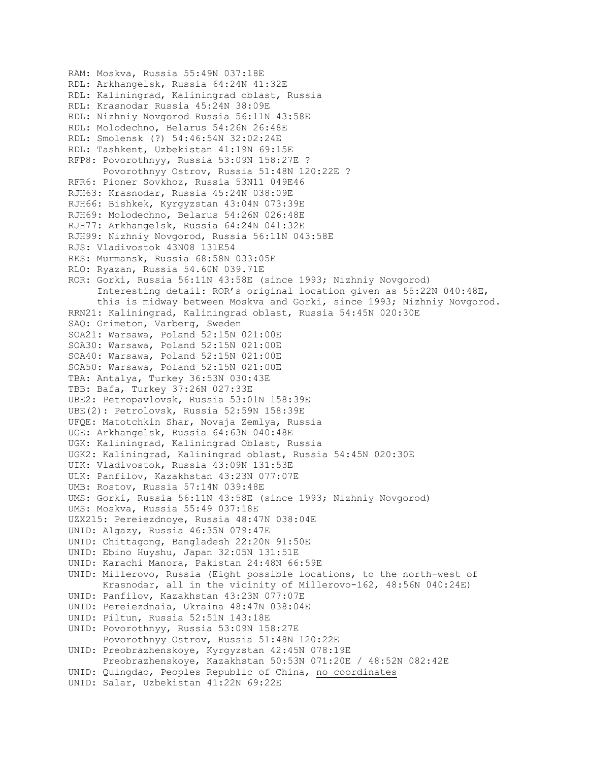RAM: Moskva, Russia 55:49N 037:18E RDL: Arkhangelsk, Russia 64:24N 41:32E RDL: Kaliningrad, Kaliningrad oblast, Russia RDL: Krasnodar Russia 45:24N 38:09E RDL: Nizhniy Novgorod Russia 56:11N 43:58E RDL: Molodechno, Belarus 54:26N 26:48E RDL: Smolensk (?) 54:46:54N 32:02:24E RDL: Tashkent, Uzbekistan 41:19N 69:15E RFP8: Povorothnyy, Russia 53:09N 158:27E ? Povorothnyy Ostrov, Russia 51:48N 120:22E ? RFR6: Pioner Sovkhoz, Russia 53N11 049E46 RJH63: Krasnodar, Russia 45:24N 038:09E RJH66: Bishkek, Kyrgyzstan 43:04N 073:39E RJH69: Molodechno, Belarus 54:26N 026:48E RJH77: Arkhangelsk, Russia 64:24N 041:32E RJH99: Nizhniy Novgorod, Russia 56:11N 043:58E RJS: Vladivostok 43N08 131E54 RKS: Murmansk, Russia 68:58N 033:05E RLO: Ryazan, Russia 54.60N 039.71E ROR: Gorki, Russia 56:11N 43:58E (since 1993; Nizhniy Novgorod) Interesting detail: ROR's original location given as 55:22N 040:48E, this is midway between Moskva and Gorki, since 1993; Nizhniy Novgorod. RRN21: Kaliningrad, Kaliningrad oblast, Russia 54:45N 020:30E SAQ: Grimeton, Varberg, Sweden SOA21: Warsawa, Poland 52:15N 021:00E SOA30: Warsawa, Poland 52:15N 021:00E SOA40: Warsawa, Poland 52:15N 021:00E SOA50: Warsawa, Poland 52:15N 021:00E TBA: Antalya, Turkey 36:53N 030:43E TBB: Bafa, Turkey 37:26N 027:33E UBE2: Petropavlovsk, Russia 53:01N 158:39E UBE(2): Petrolovsk, Russia 52:59N 158:39E UFQE: Matotchkin Shar, Novaja Zemlya, Russia UGE: Arkhangelsk, Russia 64:63N 040:48E UGK: Kaliningrad, Kaliningrad Oblast, Russia UGK2: Kaliningrad, Kaliningrad oblast, Russia 54:45N 020:30E UIK: Vladivostok, Russia 43:09N 131:53E ULK: Panfilov, Kazakhstan 43:23N 077:07E UMB: Rostov, Russia 57:14N 039:48E UMS: Gorki, Russia 56:11N 43:58E (since 1993; Nizhniy Novgorod) UMS: Moskva, Russia 55:49 037:18E UZX215: Pereiezdnoye, Russia 48:47N 038:04E UNID: Algazy, Russia 46:35N 079:47E UNID: Chittagong, Bangladesh 22:20N 91:50E UNID: Ebino Huyshu, Japan 32:05N 131:51E UNID: Karachi Manora, Pakistan 24:48N 66:59E UNID: Millerovo, Russia (Eight possible locations, to the north-west of Krasnodar, all in the vicinity of Millerovo-162, 48:56N 040:24E) UNID: Panfilov, Kazakhstan 43:23N 077:07E UNID: Pereiezdnaia, Ukraina 48:47N 038:04E UNID: Piltun, Russia 52:51N 143:18E UNID: Povorothnyy, Russia 53:09N 158:27E Povorothnyy Ostrov, Russia 51:48N 120:22E UNID: Preobrazhenskoye, Kyrgyzstan 42:45N 078:19E Preobrazhenskoye, Kazakhstan 50:53N 071:20E / 48:52N 082:42E UNID: Quingdao, Peoples Republic of China, no coordinates UNID: Salar, Uzbekistan 41:22N 69:22E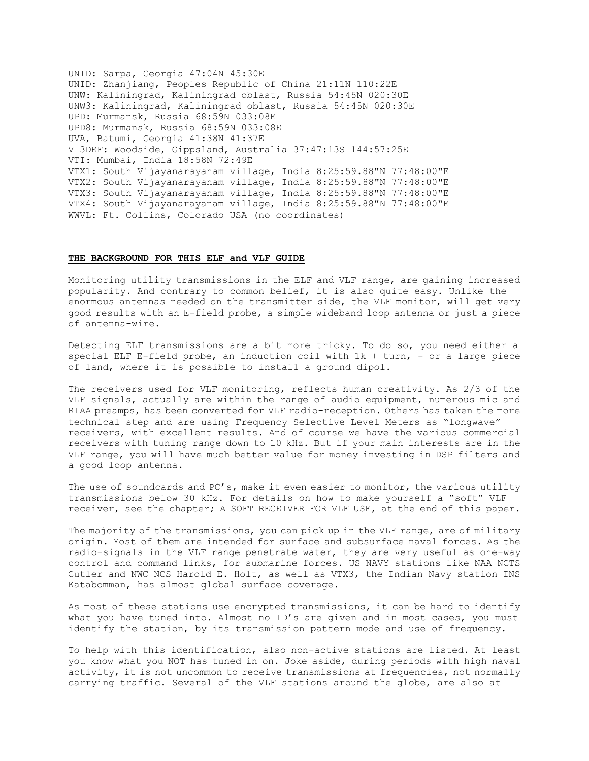UNID: Sarpa, Georgia 47:04N 45:30E UNID: Zhanjiang, Peoples Republic of China 21:11N 110:22E UNW: Kaliningrad, Kaliningrad oblast, Russia 54:45N 020:30E UNW3: Kaliningrad, Kaliningrad oblast, Russia 54:45N 020:30E UPD: Murmansk, Russia 68:59N 033:08E UPD8: Murmansk, Russia 68:59N 033:08E UVA, Batumi, Georgia 41:38N 41:37E VL3DEF: Woodside, Gippsland, Australia 37:47:13S 144:57:25E VTI: Mumbai, India 18:58N 72:49E VTX1: South Vijayanarayanam village, India 8:25:59.88"N 77:48:00"E VTX2: South Vijayanarayanam village, India 8:25:59.88"N 77:48:00"E VTX3: South Vijayanarayanam village, India 8:25:59.88"N 77:48:00"E VTX4: South Vijayanarayanam village, India 8:25:59.88"N 77:48:00"E WWVL: Ft. Collins, Colorado USA (no coordinates)

#### **THE BACKGROUND FOR THIS ELF and VLF GUIDE**

Monitoring utility transmissions in the ELF and VLF range, are gaining increased popularity. And contrary to common belief, it is also quite easy. Unlike the enormous antennas needed on the transmitter side, the VLF monitor, will get very good results with an E-field probe, a simple wideband loop antenna or just a piece of antenna-wire.

Detecting ELF transmissions are a bit more tricky. To do so, you need either a special ELF E-field probe, an induction coil with 1k++ turn, - or a large piece of land, where it is possible to install a ground dipol.

The receivers used for VLF monitoring, reflects human creativity. As 2/3 of the VLF signals, actually are within the range of audio equipment, numerous mic and RIAA preamps, has been converted for VLF radio-reception. Others has taken the more technical step and are using Frequency Selective Level Meters as "longwave" receivers, with excellent results. And of course we have the various commercial receivers with tuning range down to 10 kHz. But if your main interests are in the VLF range, you will have much better value for money investing in DSP filters and a good loop antenna.

The use of soundcards and PC's, make it even easier to monitor, the various utility transmissions below 30 kHz. For details on how to make yourself a "soft" VLF receiver, see the chapter; A SOFT RECEIVER FOR VLF USE, at the end of this paper.

The majority of the transmissions, you can pick up in the VLF range, are of military origin. Most of them are intended for surface and subsurface naval forces. As the radio-signals in the VLF range penetrate water, they are very useful as one-way control and command links, for submarine forces. US NAVY stations like NAA NCTS Cutler and NWC NCS Harold E. Holt, as well as VTX3, the Indian Navy station INS Katabomman, has almost global surface coverage.

As most of these stations use encrypted transmissions, it can be hard to identify what you have tuned into. Almost no ID's are given and in most cases, you must identify the station, by its transmission pattern mode and use of frequency.

To help with this identification, also non-active stations are listed. At least you know what you NOT has tuned in on. Joke aside, during periods with high naval activity, it is not uncommon to receive transmissions at frequencies, not normally carrying traffic. Several of the VLF stations around the globe, are also at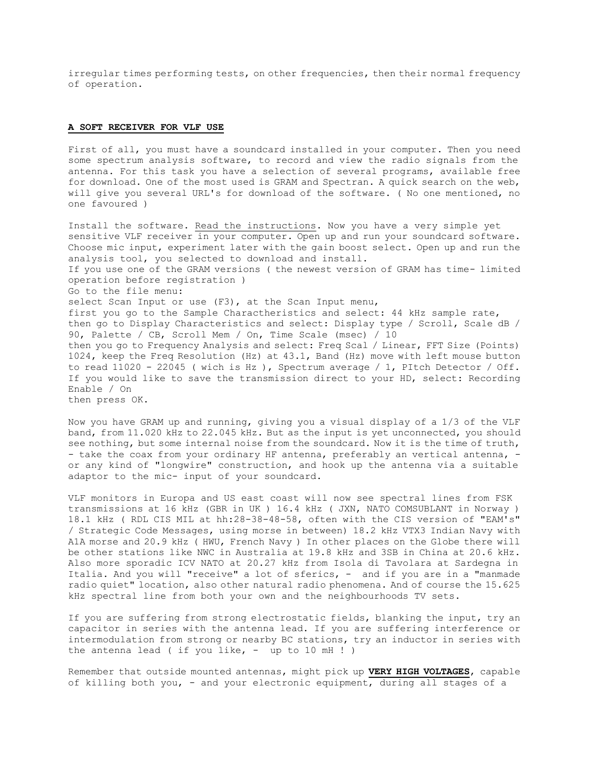irregular times performing tests, on other frequencies, then their normal frequency of operation.

## **A SOFT RECEIVER FOR VLF USE**

First of all, you must have a soundcard installed in your computer. Then you need some spectrum analysis software, to record and view the radio signals from the antenna. For this task you have a selection of several programs, available free for download. One of the most used is GRAM and Spectran. A quick search on the web, will give you several URL's for download of the software. ( No one mentioned, no one favoured )

Install the software. Read the instructions. Now you have a very simple yet sensitive VLF receiver in your computer. Open up and run your soundcard software. Choose mic input, experiment later with the gain boost select. Open up and run the analysis tool, you selected to download and install. If you use one of the GRAM versions ( the newest version of GRAM has time- limited operation before registration ) Go to the file menu: select Scan Input or use (F3), at the Scan Input menu, first you go to the Sample Charactheristics and select: 44 kHz sample rate, then go to Display Characteristics and select: Display type / Scroll, Scale dB / 90, Palette / CB, Scroll Mem / On, Time Scale (msec) / 10 then you go to Frequency Analysis and select: Freq Scal / Linear, FFT Size (Points) 1024, keep the Freq Resolution (Hz) at 43.1, Band (Hz) move with left mouse button to read  $11020 - 22045$  (wich is Hz), Spectrum average / 1, PItch Detector / Off. If you would like to save the transmission direct to your HD, select: Recording Enable / On then press OK.

Now you have GRAM up and running, giving you a visual display of a 1/3 of the VLF band, from 11.020 kHz to 22.045 kHz. But as the input is yet unconnected, you should see nothing, but some internal noise from the soundcard. Now it is the time of truth, - take the coax from your ordinary HF antenna, preferably an vertical antenna, or any kind of "longwire" construction, and hook up the antenna via a suitable adaptor to the mic- input of your soundcard.

VLF monitors in Europa and US east coast will now see spectral lines from FSK transmissions at 16 kHz (GBR in UK ) 16.4 kHz ( JXN, NATO COMSUBLANT in Norway ) 18.1 kHz ( RDL CIS MIL at hh:28-38-48-58, often with the CIS version of "EAM's" / Strategic Code Messages, using morse in between) 18.2 kHz VTX3 Indian Navy with A1A morse and 20.9 kHz ( HWU, French Navy ) In other places on the Globe there will be other stations like NWC in Australia at 19.8 kHz and 3SB in China at 20.6 kHz. Also more sporadic ICV NATO at 20.27 kHz from Isola di Tavolara at Sardegna in Italia. And you will "receive" a lot of sferics, - and if you are in a "manmade radio quiet" location, also other natural radio phenomena. And of course the 15.625 kHz spectral line from both your own and the neighbourhoods TV sets.

If you are suffering from strong electrostatic fields, blanking the input, try an capacitor in series with the antenna lead. If you are suffering interference or intermodulation from strong or nearby BC stations, try an inductor in series with the antenna lead ( if you like,  $-$  up to 10 mH ! )

Remember that outside mounted antennas, might pick up **VERY HIGH VOLTAGES**, capable of killing both you, - and your electronic equipment, during all stages of a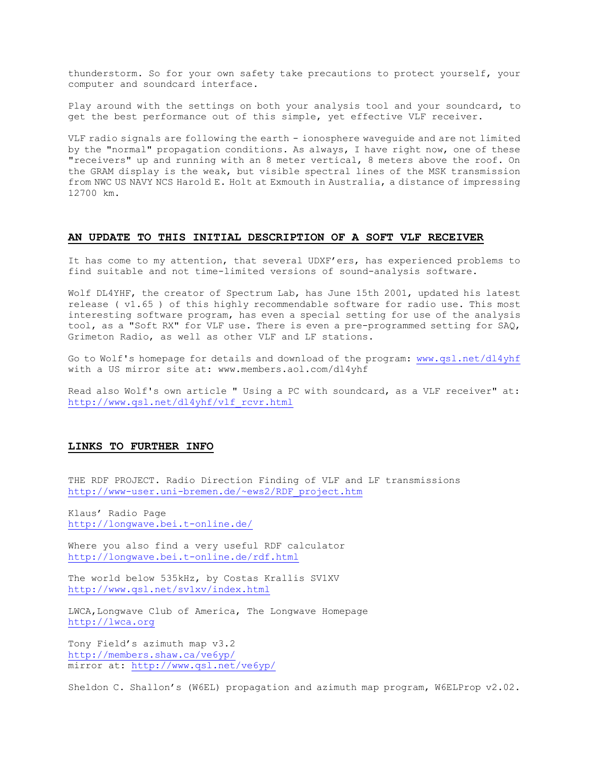thunderstorm. So for your own safety take precautions to protect yourself, your computer and soundcard interface.

Play around with the settings on both your analysis tool and your soundcard, to get the best performance out of this simple, yet effective VLF receiver.

VLF radio signals are following the earth - ionosphere waveguide and are not limited by the "normal" propagation conditions. As always, I have right now, one of these "receivers" up and running with an 8 meter vertical, 8 meters above the roof. On the GRAM display is the weak, but visible spectral lines of the MSK transmission from NWC US NAVY NCS Harold E. Holt at Exmouth in Australia, a distance of impressing 12700 km.

## **AN UPDATE TO THIS INITIAL DESCRIPTION OF A SOFT VLF RECEIVER**

It has come to my attention, that several UDXF'ers, has experienced problems to find suitable and not time-limited versions of sound-analysis software.

Wolf DL4YHF, the creator of Spectrum Lab, has June 15th 2001, updated his latest release ( v1.65 ) of this highly recommendable software for radio use. This most interesting software program, has even a special setting for use of the analysis tool, as a "Soft RX" for VLF use. There is even a pre-programmed setting for SAQ, Grimeton Radio, as well as other VLF and LF stations.

Go to Wolf's homepage for details and download of the program: [www.qsl.net/dl4yhf](http://www.qsl.net/dl4yhf) with a US mirror site at: www.members.aol.com/dl4yhf

Read also Wolf's own article " Using a PC with soundcard, as a VLF receiver" at: [http://www.qsl.net/dl4yhf/vlf\\_rcvr.html](http://www.qsl.net/dl4yhf/vlf_rcvr.html)

## **LINKS TO FURTHER INFO**

THE RDF PROJECT. Radio Direction Finding of VLF and LF transmissions [http://www-user.uni-bremen.de/~ews2/RDF\\_project.htm](http://www-user.uni-bremen.de/~ews2/RDF_project.htm)

Klaus' Radio Page <http://longwave.bei.t-online.de/>

Where you also find a very useful RDF calculator <http://longwave.bei.t-online.de/rdf.html>

The world below 535kHz, by Costas Krallis SV1XV <http://www.qsl.net/sv1xv/index.html>

LWCA, Longwave Club of America, The Longwave Homepage [http://lwca.org](http://lwca.org/)

Tony Field's azimuth map v3.2 <http://members.shaw.ca/ve6yp/> mirror at:<http://www.qsl.net/ve6yp/>

Sheldon C. Shallon's (W6EL) propagation and azimuth map program, W6ELProp v2.02.